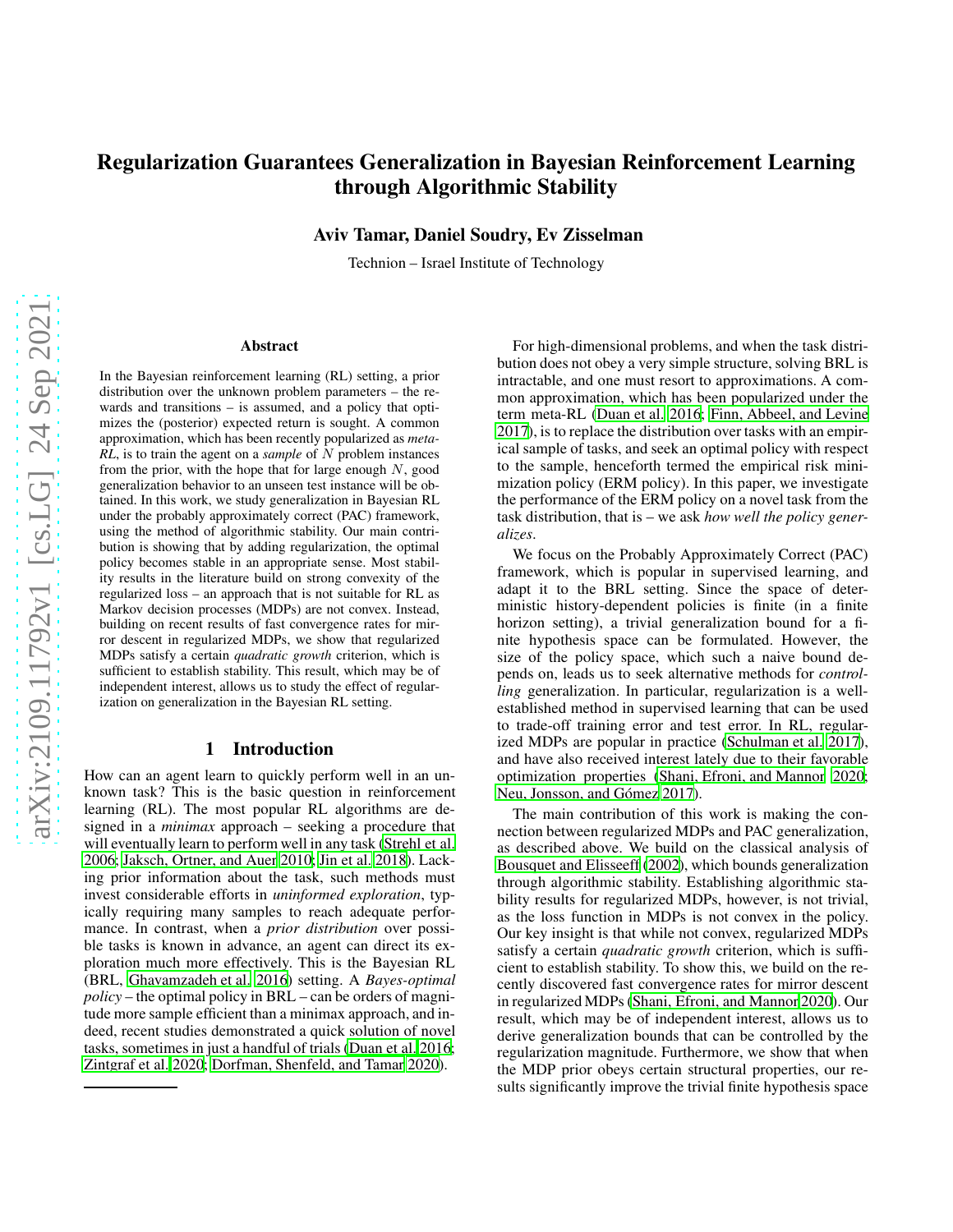# Regularization Guarantees Generalization in Bayesian Reinforcement Learning through Algorithmic Stability

Aviv Tamar, Daniel Soudry, Ev Zisselman

Technion – Israel Institute of Technology

#### Abstract

In the Bayesian reinforcement learning (RL) setting, a prior distribution over the unknown problem parameters – the rewards and transitions – is assumed, and a policy that optimizes the (posterior) expected return is sought. A common approximation, which has been recently popularized as *meta-RL*, is to train the agent on a *sample* of N problem instances from the prior, with the hope that for large enough  $N$ , good generalization behavior to an unseen test instance will be obtained. In this work, we study generalization in Bayesian RL under the probably approximately correct (PAC) framework, using the method of algorithmic stability. Our main contribution is showing that by adding regularization, the optimal policy becomes stable in an appropriate sense. Most stability results in the literature build on strong convexity of the regularized loss – an approach that is not suitable for RL as Markov decision processes (MDPs) are not convex. Instead, building on recent results of fast convergence rates for mirror descent in regularized MDPs, we show that regularized MDPs satisfy a certain *quadratic growth* criterion, which is sufficient to establish stability. This result, which may be of independent interest, allows us to study the effect of regularization on generalization in the Bayesian RL setting.

### 1 Introduction

How can an agent learn to quickly perform well in an unknown task? This is the basic question in reinforcement learning (RL). The most popular RL algorithms are designed in a *minimax* approach – seeking a procedure that will eventually learn to perform well in any task [\(Strehl et al.](#page-7-0) [2006;](#page-7-0) [Jaksch, Ortner, and Auer 2010;](#page-7-1) [Jin et al. 2018](#page-7-2)). Lacking prior information about the task, such methods must invest considerable efforts in *uninformed exploration*, typically requiring many samples to reach adequate performance. In contrast, when a *prior distribution* over possible tasks is known in advance, an agent can direct its exploration much more effectively. This is the Bayesian RL (BRL, [Ghavamzadeh et al. 2016\)](#page-7-3) setting. A *Bayes-optimal policy* – the optimal policy in BRL – can be orders of magnitude more sample efficient than a minimax approach, and indeed, recent studies demonstrated a quick solution of novel tasks, sometimes in just a handful of trials [\(Duan et al. 2016;](#page-7-4) [Zintgraf et al. 2020;](#page-8-0) [Dorfman, Shenfeld, and Tamar 2020\)](#page-7-5).

For high-dimensional problems, and when the task distribution does not obey a very simple structure, solving BRL is intractable, and one must resort to approximations. A common approximation, which has been popularized under the term meta-RL [\(Duan et al. 2016;](#page-7-4) [Finn, Abbeel, and Levine](#page-7-6) [2017\)](#page-7-6), is to replace the distribution over tasks with an empirical sample of tasks, and seek an optimal policy with respect to the sample, henceforth termed the empirical risk minimization policy (ERM policy). In this paper, we investigate the performance of the ERM policy on a novel task from the task distribution, that is – we ask *how well the policy generalizes*.

We focus on the Probably Approximately Correct (PAC) framework, which is popular in supervised learning, and adapt it to the BRL setting. Since the space of deterministic history-dependent policies is finite (in a finite horizon setting), a trivial generalization bound for a finite hypothesis space can be formulated. However, the size of the policy space, which such a naive bound depends on, leads us to seek alternative methods for *controlling* generalization. In particular, regularization is a wellestablished method in supervised learning that can be used to trade-off training error and test error. In RL, regularized MDPs are popular in practice [\(Schulman et al. 2017](#page-7-7)), and have also received interest lately due to their favorable optimization properties [\(Shani, Efroni, and Mannor 2020](#page-7-8); Neu, Jonsson, and Gómez 2017).

The main contribution of this work is making the connection between regularized MDPs and PAC generalization, as described above. We build on the classical analysis of [Bousquet and Elisseeff](#page-7-10) [\(2002\)](#page-7-10), which bounds generalization through algorithmic stability. Establishing algorithmic stability results for regularized MDPs, however, is not trivial, as the loss function in MDPs is not convex in the policy. Our key insight is that while not convex, regularized MDPs satisfy a certain *quadratic growth* criterion, which is sufficient to establish stability. To show this, we build on the recently discovered fast convergence rates for mirror descent in regularized MDPs [\(Shani, Efroni, and Mannor 2020\)](#page-7-8). Our result, which may be of independent interest, allows us to derive generalization bounds that can be controlled by the regularization magnitude. Furthermore, we show that when the MDP prior obeys certain structural properties, our results significantly improve the trivial finite hypothesis space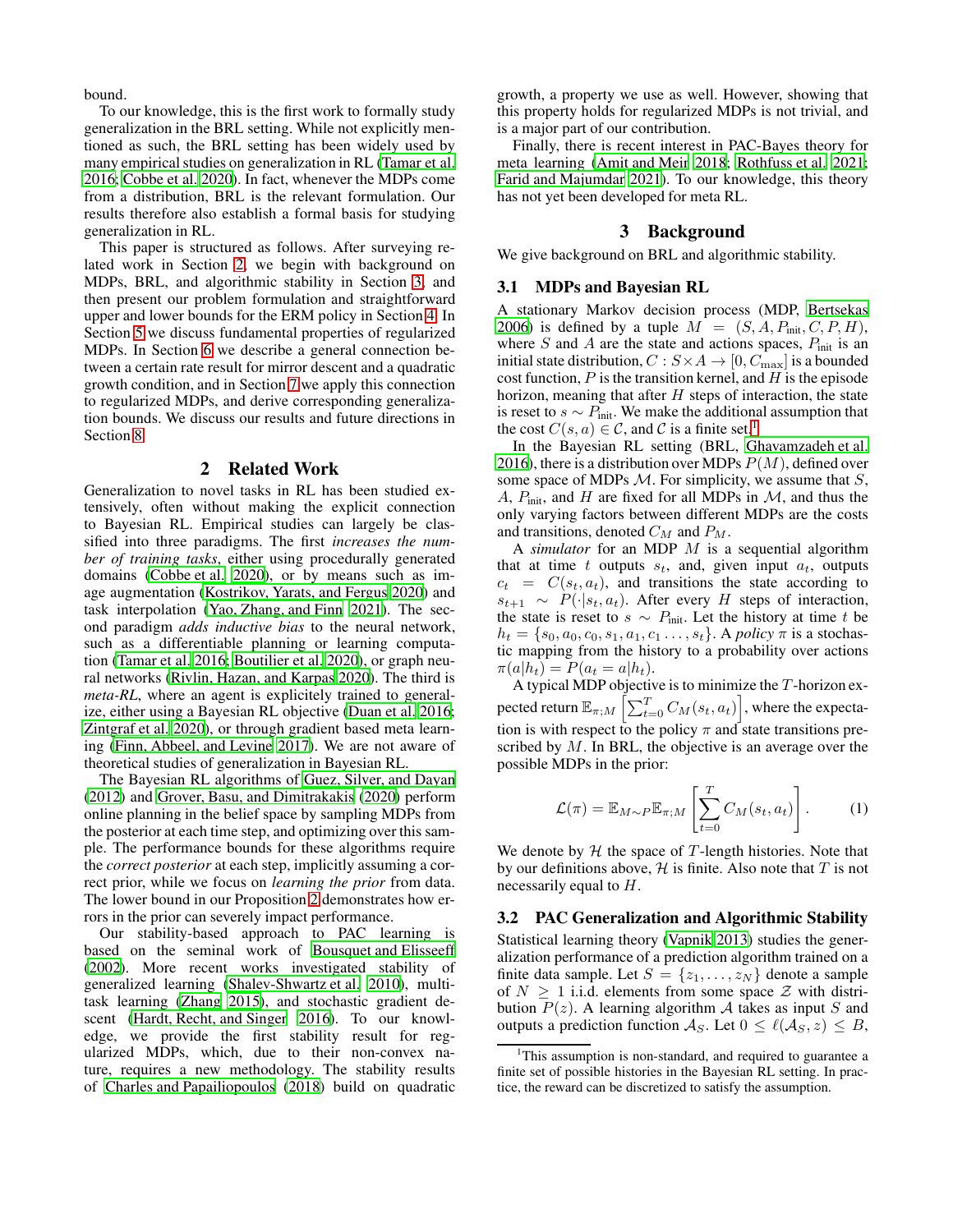bound.

To our knowledge, this is the first work to formally study generalization in the BRL setting. While not explicitly mentioned as such, the BRL setting has been widely used by many empirical studies on generalization in RL [\(Tamar et al.](#page-7-11) [2016;](#page-7-11) [Cobbe et al. 2020\)](#page-7-12). In fact, whenever the MDPs come from a distribution, BRL is the relevant formulation. Our results therefore also establish a formal basis for studying generalization in RL.

This paper is structured as follows. After surveying related work in Section [2,](#page-1-0) we begin with background on MDPs, BRL, and algorithmic stability in Section [3,](#page-1-1) and then present our problem formulation and straightforward upper and lower bounds for the ERM policy in Section [4.](#page-2-0) In Section [5](#page-3-0) we discuss fundamental properties of regularized MDPs. In Section [6](#page-4-0) we describe a general connection between a certain rate result for mirror descent and a quadratic growth condition, and in Section [7](#page-5-0) we apply this connection to regularized MDPs, and derive corresponding generalization bounds. We discuss our results and future directions in Section [8.](#page-6-0)

#### 2 Related Work

<span id="page-1-0"></span>Generalization to novel tasks in RL has been studied extensively, often without making the explicit connection to Bayesian RL. Empirical studies can largely be classified into three paradigms. The first *increases the number of training tasks*, either using procedurally generated domains [\(Cobbe et al. 2020\)](#page-7-12), or by means such as image augmentation [\(Kostrikov, Yarats, and Fergus 2020\)](#page-7-13) and task interpolation [\(Yao, Zhang, and Finn 2021\)](#page-8-1). The second paradigm *adds inductive bias* to the neural network, such as a differentiable planning or learning computation [\(Tamar et al. 2016;](#page-7-11) [Boutilier et al. 2020](#page-7-14)), or graph neural networks [\(Rivlin, Hazan, and Karpas 2020\)](#page-7-15). The third is *meta-RL*, where an agent is explicitely trained to generalize, either using a Bayesian RL objective [\(Duan et al. 2016;](#page-7-4) [Zintgraf et al. 2020\)](#page-8-0), or through gradient based meta learning [\(Finn, Abbeel, and Levine 2017\)](#page-7-6). We are not aware of theoretical studies of generalization in Bayesian RL.

The Bayesian RL algorithms of [Guez, Silver, and Dayan](#page-7-16) [\(2012\)](#page-7-16) and [Grover, Basu, and Dimitrakakis \(2020\)](#page-7-17) perform online planning in the belief space by sampling MDPs from the posterior at each time step, and optimizing over this sample. The performance bounds for these algorithms require the *correct posterior* at each step, implicitly assuming a correct prior, while we focus on *learning the prior* from data. The lower bound in our Proposition [2](#page-2-1) demonstrates how errors in the prior can severely impact performance.

Our stability-based approach to PAC learning is based on the seminal work of [Bousquet and Elisseeff](#page-7-10) [\(2002\)](#page-7-10). More recent works investigated stability of generalized learning [\(Shalev-Shwartz et al. 2010\)](#page-7-18), multitask learning [\(Zhang 2015\)](#page-8-2), and stochastic gradient descent [\(Hardt, Recht, and Singer 2016\)](#page-7-19). To our knowledge, we provide the first stability result for regularized MDPs, which, due to their non-convex nature, requires a new methodology. The stability results of [Charles and Papailiopoulos](#page-7-20) [\(2018\)](#page-7-20) build on quadratic

growth, a property we use as well. However, showing that this property holds for regularized MDPs is not trivial, and is a major part of our contribution.

Finally, there is recent interest in PAC-Bayes theory for meta learning [\(Amit and Meir 2018;](#page-7-21) [Rothfuss et al. 2021](#page-7-22); [Farid and Majumdar 2021\)](#page-7-23). To our knowledge, this theory has not yet been developed for meta RL.

### 3 Background

<span id="page-1-1"></span>We give background on BRL and algorithmic stability.

#### 3.1 MDPs and Bayesian RL

A stationary Markov decision process (MDP, [Bertsekas](#page-7-24) [2006\)](#page-7-24) is defined by a tuple  $M = (S, A, P_{init}, C, P, H)$ , where S and A are the state and actions spaces,  $P_{init}$  is an initial state distribution,  $C : S \times A \rightarrow [0, C_{\text{max}}]$  is a bounded cost function,  $P$  is the transition kernel, and  $H$  is the episode horizon, meaning that after  $H$  steps of interaction, the state is reset to  $s \sim P_{\text{init}}$ . We make the additional assumption that the cost  $C(s, a) \in \mathcal{C}$ , and  $\mathcal{C}$  is a finite set.<sup>[1](#page-1-2)</sup>

In the Bayesian RL setting (BRL, [Ghavamzadeh et al.](#page-7-3) [2016\)](#page-7-3), there is a distribution over MDPs  $P(M)$ , defined over some space of MDPs  $M$ . For simplicity, we assume that  $S$ , A,  $P_{\text{init}}$ , and H are fixed for all MDPs in  $\mathcal{M}$ , and thus the only varying factors between different MDPs are the costs and transitions, denoted  $C_M$  and  $P_M$ .

A *simulator* for an MDP M is a sequential algorithm that at time t outputs  $s_t$ , and, given input  $a_t$ , outputs  $c_t = C(s_t, a_t)$ , and transitions the state according to  $s_{t+1} \sim P(\cdot|s_t, a_t)$ . After every H steps of interaction, the state is reset to  $s \sim P_{\text{init}}$ . Let the history at time t be  $h_t = \{s_0, a_0, c_0, s_1, a_1, c_1, \ldots, s_t\}$ . A *policy*  $\pi$  is a stochastic mapping from the history to a probability over actions  $\pi(a|h_t) = P(a_t = a|h_t).$ 

A typical MDP objective is to minimize the  $T$ -horizon expected return  $\mathbb{E}_{\pi;M}\left[\sum_{t=0}^T C_M(s_t,a_t)\right]$ , where the expectation is with respect to the policy  $\pi$  and state transitions prescribed by  $M$ . In BRL, the objective is an average over the possible MDPs in the prior:

<span id="page-1-3"></span>
$$
\mathcal{L}(\pi) = \mathbb{E}_{M \sim P} \mathbb{E}_{\pi;M} \left[ \sum_{t=0}^{T} C_M(s_t, a_t) \right].
$$
 (1)

We denote by  $H$  the space of  $T$ -length histories. Note that by our definitions above,  $H$  is finite. Also note that  $T$  is not necessarily equal to  $H$ .

#### 3.2 PAC Generalization and Algorithmic Stability

Statistical learning theory [\(Vapnik 2013\)](#page-7-25) studies the generalization performance of a prediction algorithm trained on a finite data sample. Let  $S = \{z_1, \ldots, z_N\}$  denote a sample of  $N \geq 1$  i.i.d. elements from some space  $\mathcal Z$  with distribution  $P(z)$ . A learning algorithm A takes as input S and outputs a prediction function  $A_S$ . Let  $0 \leq \ell(A_S, z) \leq B$ ,

<span id="page-1-2"></span><sup>&</sup>lt;sup>1</sup>This assumption is non-standard, and required to guarantee a finite set of possible histories in the Bayesian RL setting. In practice, the reward can be discretized to satisfy the assumption.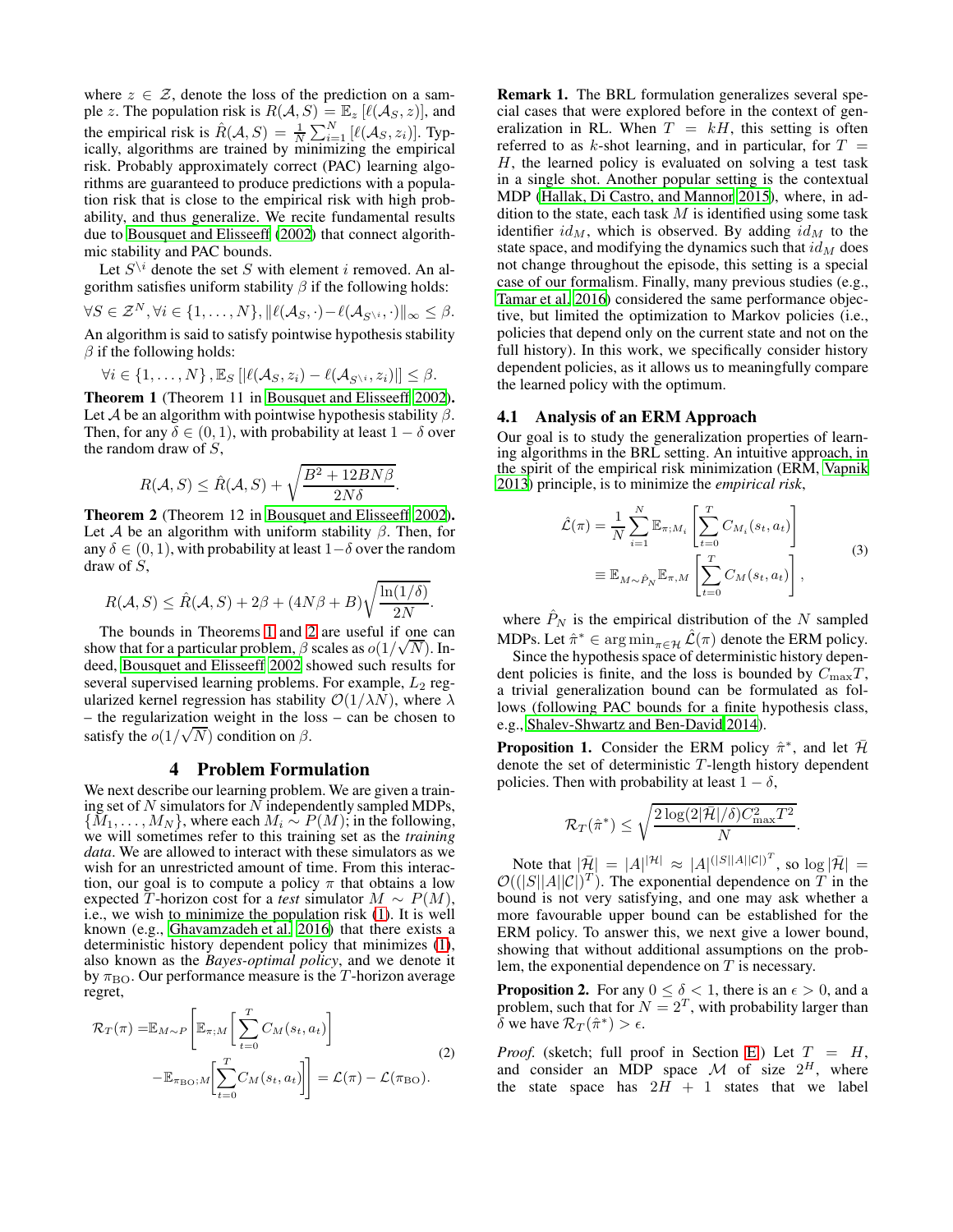where  $z \in \mathcal{Z}$ , denote the loss of the prediction on a sample z. The population risk is  $R(A, S) = \mathbb{E}_z [\ell(A_S, z)]$ , and the empirical risk is  $\hat{R}(A, S) = \frac{1}{N} \sum_{i=1}^{N} [\ell(A_S, z_i)]$ . Typically, algorithms are trained by minimizing the empirical risk. Probably approximately correct (PAC) learning algorithms are guaranteed to produce predictions with a population risk that is close to the empirical risk with high probability, and thus generalize. We recite fundamental results due to [Bousquet and Elisseeff \(2002\)](#page-7-10) that connect algorithmic stability and PAC bounds.

Let  $S^{\setminus i}$  denote the set S with element i removed. An algorithm satisfies uniform stability  $\beta$  if the following holds:  $\forall S \in \mathcal{Z}^N, \forall i \in \{1, \ldots, N\}, ||\ell(\mathcal{A}_S, \cdot) - \ell(\mathcal{A}_{S^{\backslash i}}, \cdot)||_{\infty} \leq \beta.$ An algorithm is said to satisfy pointwise hypothesis stability  $\beta$  if the following holds:

$$
\forall i \in \{1, \ldots, N\}, \mathbb{E}_S\left[|\ell(\mathcal{A}_S, z_i) - \ell(\mathcal{A}_{S^{\setminus i}}, z_i)|\right] \leq \beta.
$$

<span id="page-2-2"></span>Theorem 1 (Theorem 11 in [Bousquet and Elisseeff 2002\)](#page-7-10). Let A be an algorithm with pointwise hypothesis stability  $\beta$ . Then, for any  $\delta \in (0, 1)$ , with probability at least  $1 - \delta$  over the random draw of  $S$ ,

$$
R(\mathcal{A}, S) \le \hat{R}(\mathcal{A}, S) + \sqrt{\frac{B^2 + 12B N \beta}{2N \delta}}.
$$

<span id="page-2-3"></span>Theorem 2 (Theorem 12 in [Bousquet and Elisseeff 2002\)](#page-7-10). Let A be an algorithm with uniform stability  $\beta$ . Then, for any  $\delta \in (0, 1)$ , with probability at least  $1-\delta$  over the random draw of S,

$$
R(\mathcal{A}, S) \le \hat{R}(\mathcal{A}, S) + 2\beta + (4N\beta + B)\sqrt{\frac{\ln(1/\delta)}{2N}}
$$

.

The bounds in Theorems [1](#page-2-2) and [2](#page-2-3) are useful if one can show that for a particular problem,  $\beta$  scales as  $o(1/\sqrt{N})$ . Indeed, [Bousquet and Elisseeff 2002](#page-7-10) showed such results for several supervised learning problems. For example,  $L_2$  regularized kernel regression has stability  $\mathcal{O}(1/\lambda N)$ , where  $\lambda$ – the regularization weight in the loss – can be chosen to satisfy the  $o(1/\sqrt{N})$  condition on  $\beta$ .

# 4 Problem Formulation

<span id="page-2-0"></span>We next describe our learning problem. We are given a training set of  $N$  simulators for  $N$  independently sampled MDPs,  $\{\widetilde{M}_1,\ldots,\widetilde{M}_N\}$ , where each  $M_i \sim P(M)$ ; in the following, we will sometimes refer to this training set as the *training data*. We are allowed to interact with these simulators as we wish for an unrestricted amount of time. From this interaction, our goal is to compute a policy  $\pi$  that obtains a low expected T-horizon cost for a *test* simulator  $M \sim P(M)$ , i.e., we wish to minimize the population risk [\(1\)](#page-1-3). It is well known (e.g., [Ghavamzadeh et al. 2016\)](#page-7-3) that there exists a deterministic history dependent policy that minimizes [\(1\)](#page-1-3), also known as the *Bayes-optimal policy*, and we denote it by  $\pi_{\rm BO}$ . Our performance measure is the T-horizon average regret,

$$
\mathcal{R}_{T}(\pi) = \mathbb{E}_{M \sim P} \left[ \mathbb{E}_{\pi;M} \left[ \sum_{t=0}^{T} C_M(s_t, a_t) \right] - \mathbb{E}_{\pi_{\text{BO}};M} \left[ \sum_{t=0}^{T} C_M(s_t, a_t) \right] \right] = \mathcal{L}(\pi) - \mathcal{L}(\pi_{\text{BO}}).
$$
\n(2)

Remark 1. The BRL formulation generalizes several special cases that were explored before in the context of generalization in RL. When  $T = kH$ , this setting is often referred to as k-shot learning, and in particular, for  $T =$  $H$ , the learned policy is evaluated on solving a test task in a single shot. Another popular setting is the contextual MDP [\(Hallak, Di Castro, and Mannor 2015\)](#page-7-26), where, in addition to the state, each task  $M$  is identified using some task identifier  $id_M$ , which is observed. By adding  $id_M$  to the state space, and modifying the dynamics such that  $id_M$  does not change throughout the episode, this setting is a special case of our formalism. Finally, many previous studies (e.g., [Tamar et al. 2016\)](#page-7-11) considered the same performance objective, but limited the optimization to Markov policies (i.e., policies that depend only on the current state and not on the full history). In this work, we specifically consider history dependent policies, as it allows us to meaningfully compare the learned policy with the optimum.

#### 4.1 Analysis of an ERM Approach

Our goal is to study the generalization properties of learning algorithms in the BRL setting. An intuitive approach, in the spirit of the empirical risk minimization (ERM, [Vapnik](#page-7-25) [2013\)](#page-7-25) principle, is to minimize the *empirical risk*,

<span id="page-2-4"></span>
$$
\hat{\mathcal{L}}(\pi) = \frac{1}{N} \sum_{i=1}^{N} \mathbb{E}_{\pi; M_i} \left[ \sum_{t=0}^{T} C_{M_i}(s_t, a_t) \right]
$$
\n
$$
\equiv \mathbb{E}_{M \sim \hat{P}_N} \mathbb{E}_{\pi, M} \left[ \sum_{t=0}^{T} C_M(s_t, a_t) \right],
$$
\n(3)

where  $\hat{P}_N$  is the empirical distribution of the N sampled MDPs. Let  $\hat{\pi}^* \in \argmin_{\pi \in \mathcal{H}} \hat{\mathcal{L}}(\pi)$  denote the ERM policy.

Since the hypothesis space of deterministic history dependent policies is finite, and the loss is bounded by  $C_{\text{max}}T$ , a trivial generalization bound can be formulated as follows (following PAC bounds for a finite hypothesis class, e.g., [Shalev-Shwartz and Ben-David 2014\)](#page-7-27).

<span id="page-2-5"></span>**Proposition 1.** Consider the ERM policy  $\hat{\pi}^*$ , and let  $\hat{\mathcal{H}}$ denote the set of deterministic T -length history dependent policies. Then with probability at least  $1 - \delta$ ,

$$
\mathcal{R}_T(\hat{\pi}^*) \le \sqrt{\frac{2\log(2|\bar{\mathcal{H}}|/\delta)C_{\max}^2 T^2}{N}}.
$$

Note that  $|\bar{\mathcal{H}}| = |A|^{|\mathcal{H}|} \approx |A|^{(|S||A||C|)^T}$ , so  $\log |\bar{\mathcal{H}}| =$  $\mathcal{O}((|S||A||C|)^T)$ . The exponential dependence on T in the bound is not very satisfying, and one may ask whether a more favourable upper bound can be established for the ERM policy. To answer this, we next give a lower bound, showing that without additional assumptions on the problem, the exponential dependence on  $T$  is necessary.

<span id="page-2-1"></span>**Proposition 2.** For any  $0 \le \delta < 1$ , there is an  $\epsilon > 0$ , and a problem, such that for  $N = 2^T$ , with probability larger than  $\delta$  we have  $\mathcal{R}_T(\hat{\pi}^*) > \epsilon$ .

*Proof.* (sketch; full proof in Section [E.](#page-20-0)) Let  $T = H$ , and consider an MDP space M of size  $2^H$ , where the state space has  $2H + 1$  states that we label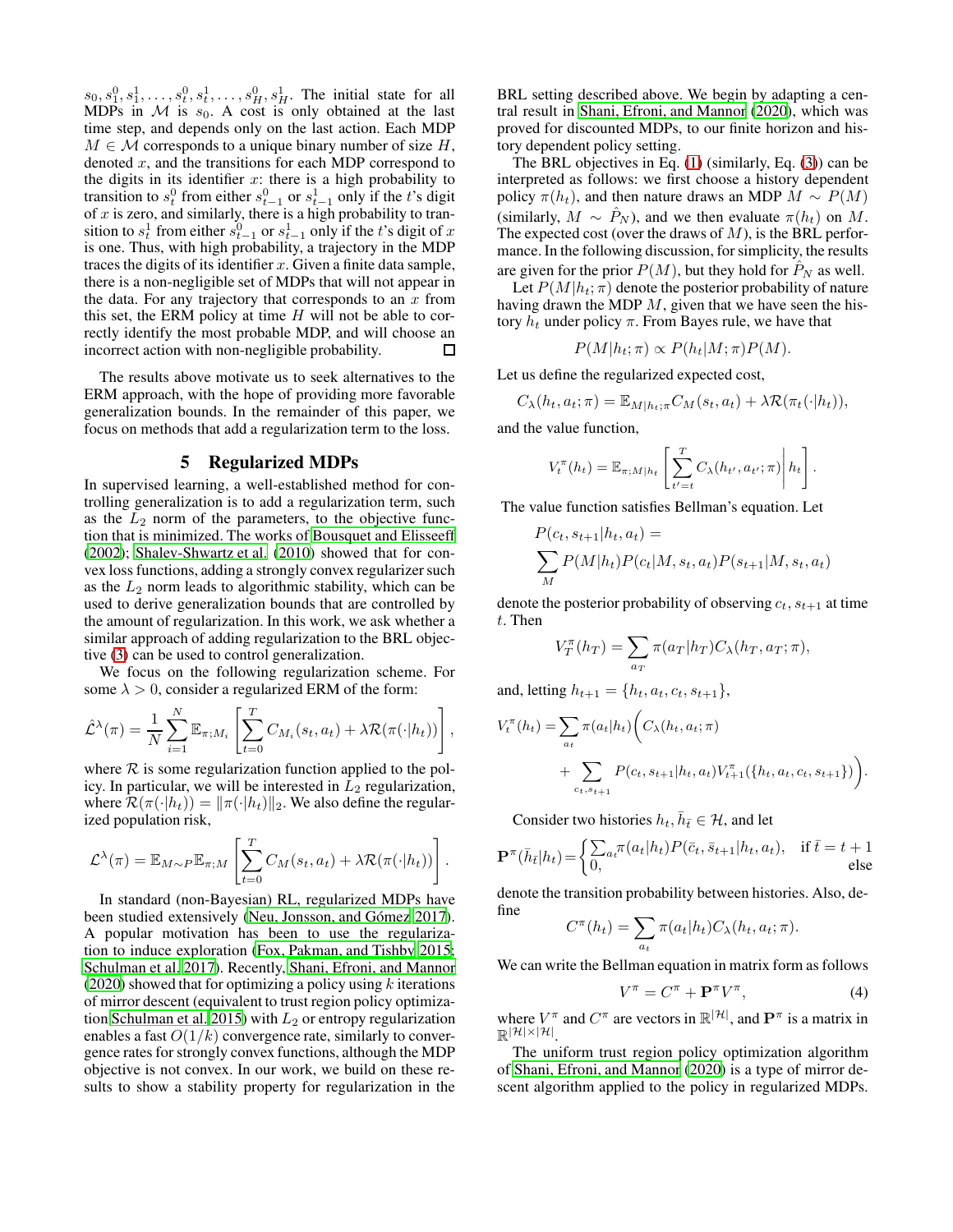$s_0, s_1^0, s_1^1, \ldots, s_t^0, s_t^1, \ldots, s_H^0, s_H^1$ . The initial state for all MDPs in  $M$  is  $s_0$ . A cost is only obtained at the last time step, and depends only on the last action. Each MDP  $M \in \mathcal{M}$  corresponds to a unique binary number of size H, denoted  $x$ , and the transitions for each MDP correspond to the digits in its identifier  $x$ : there is a high probability to transition to  $s_t^0$  from either  $s_{t-1}^0$  or  $s_{t-1}^1$  only if the t's digit of  $x$  is zero, and similarly, there is a high probability to transition to  $s_t^1$  from either  $s_{t-1}^0$  or  $s_{t-1}^1$  only if the t's digit of x is one. Thus, with high probability, a trajectory in the MDP traces the digits of its identifier  $x$ . Given a finite data sample, there is a non-negligible set of MDPs that will not appear in the data. For any trajectory that corresponds to an  $x$  from this set, the ERM policy at time  $H$  will not be able to correctly identify the most probable MDP, and will choose an incorrect action with non-negligible probability. □

The results above motivate us to seek alternatives to the ERM approach, with the hope of providing more favorable generalization bounds. In the remainder of this paper, we focus on methods that add a regularization term to the loss.

### 5 Regularized MDPs

<span id="page-3-0"></span>In supervised learning, a well-established method for controlling generalization is to add a regularization term, such as the  $L_2$  norm of the parameters, to the objective function that is minimized. The works of [Bousquet and Elisseeff](#page-7-10) [\(2002\)](#page-7-10); [Shalev-Shwartz et al. \(2010](#page-7-18)) showed that for convex loss functions, adding a strongly convex regularizer such as the  $L_2$  norm leads to algorithmic stability, which can be used to derive generalization bounds that are controlled by the amount of regularization. In this work, we ask whether a similar approach of adding regularization to the BRL objective [\(3\)](#page-2-4) can be used to control generalization.

We focus on the following regularization scheme. For some  $\lambda > 0$ , consider a regularized ERM of the form:

$$
\hat{\mathcal{L}}^{\lambda}(\pi) = \frac{1}{N} \sum_{i=1}^{N} \mathbb{E}_{\pi;M_i} \left[ \sum_{t=0}^{T} C_{M_i}(s_t, a_t) + \lambda \mathcal{R}(\pi(\cdot | h_t)) \right],
$$

where  $R$  is some regularization function applied to the policy. In particular, we will be interested in  $L_2$  regularization, where  $\mathcal{R}(\pi(\cdot|h_t)) = ||\pi(\cdot|h_t)||_2$ . We also define the regularized population risk,

$$
\mathcal{L}^{\lambda}(\pi) = \mathbb{E}_{M \sim P} \mathbb{E}_{\pi;M} \left[ \sum_{t=0}^{T} C_M(s_t, a_t) + \lambda \mathcal{R}(\pi(\cdot | h_t)) \right].
$$

In standard (non-Bayesian) RL, regularized MDPs have been studied extensively (Neu, Jonsson, and Gómez 2017). A popular motivation has been to use the regularization to induce exploration [\(Fox, Pakman, and Tishby 2015;](#page-7-28) [Schulman et al. 2017\)](#page-7-7). Recently, [Shani, Efroni, and Mannor](#page-7-8) [\(2020\)](#page-7-8) showed that for optimizing a policy using  $k$  iterations of mirror descent (equivalent to trust region policy optimiza-tion [Schulman et al. 2015\)](#page-7-29) with  $L_2$  or entropy regularization enables a fast  $O(1/k)$  convergence rate, similarly to convergence rates for strongly convex functions, although the MDP objective is not convex. In our work, we build on these results to show a stability property for regularization in the BRL setting described above. We begin by adapting a central result in [Shani, Efroni, and Mannor \(2020\)](#page-7-8), which was proved for discounted MDPs, to our finite horizon and history dependent policy setting.

The BRL objectives in Eq. [\(1\)](#page-1-3) (similarly, Eq. [\(3\)](#page-2-4)) can be interpreted as follows: we first choose a history dependent policy  $\pi(h_t)$ , and then nature draws an MDP  $M \sim P(M)$ (similarly,  $M \sim \hat{P}_N$ ), and we then evaluate  $\pi(h_t)$  on M. The expected cost (over the draws of  $M$ ), is the BRL performance. In the following discussion, for simplicity, the results are given for the prior  $P(M)$ , but they hold for  $P_N$  as well.

Let  $P(M|h_t; \pi)$  denote the posterior probability of nature having drawn the MDP  $M$ , given that we have seen the history  $h_t$  under policy  $\pi$ . From Bayes rule, we have that

$$
P(M|h_t; \pi) \propto P(h_t|M; \pi)P(M).
$$

Let us define the regularized expected cost,

$$
C_{\lambda}(h_t, a_t; \pi) = \mathbb{E}_{M|h_t; \pi} C_M(s_t, a_t) + \lambda \mathcal{R}(\pi_t(\cdot|h_t)),
$$

and the value function,

$$
V_t^{\pi}(h_t) = \mathbb{E}_{\pi;M|h_t}\left[\sum_{t'=t}^T C_{\lambda}(h_{t'}, a_{t'}; \pi)\middle| h_t\right].
$$

The value function satisfies Bellman's equation. Let

$$
P(c_t, s_{t+1}|h_t, a_t) =
$$
  

$$
\sum_{M} P(M|h_t)P(c_t|M, s_t, a_t)P(s_{t+1}|M, s_t, a_t)
$$

denote the posterior probability of observing  $c_t$ ,  $s_{t+1}$  at time t. Then

$$
V_T^{\pi}(h_T) = \sum_{a_T} \pi(a_T|h_T) C_{\lambda}(h_T, a_T; \pi),
$$

and, letting  $h_{t+1} = \{h_t, a_t, c_t, s_{t+1}\},\$ 

$$
V_t^{\pi}(h_t) = \sum_{a_t} \pi(a_t|h_t) \bigg( C_{\lambda}(h_t, a_t; \pi) + \sum_{c_t, s_{t+1}} P(c_t, s_{t+1}|h_t, a_t) V_{t+1}^{\pi}(\{h_t, a_t, c_t, s_{t+1}\}) \bigg).
$$

Consider two histories  $h_t$ ,  $\bar{h}_{\bar{t}} \in \mathcal{H}$ , and let

$$
\mathbf{P}^{\pi}(\bar{h}_{\bar{t}}|h_t) = \begin{cases} \sum_{a_t} \pi(a_t|h_t) P(\bar{c}_t, \bar{s}_{t+1}|h_t, a_t), & \text{if } \bar{t} = t+1\\ 0, & \text{else} \end{cases}
$$

denote the transition probability between histories. Also, define

$$
C^{\pi}(h_t) = \sum_{a_t} \pi(a_t|h_t) C_{\lambda}(h_t, a_t; \pi).
$$

We can write the Bellman equation in matrix form as follows

$$
V^{\pi} = C^{\pi} + \mathbf{P}^{\pi} V^{\pi}, \tag{4}
$$

where  $V^{\pi}$  and  $C^{\pi}$  are vectors in  $\mathbb{R}^{|\mathcal{H}|}$ , and  $\mathbf{P}^{\pi}$  is a matrix in  $\mathbb{R}^{|\mathcal{H}| \times |\mathcal{H}|}$ .

The uniform trust region policy optimization algorithm of [Shani, Efroni, and Mannor \(2020](#page-7-8)) is a type of mirror descent algorithm applied to the policy in regularized MDPs.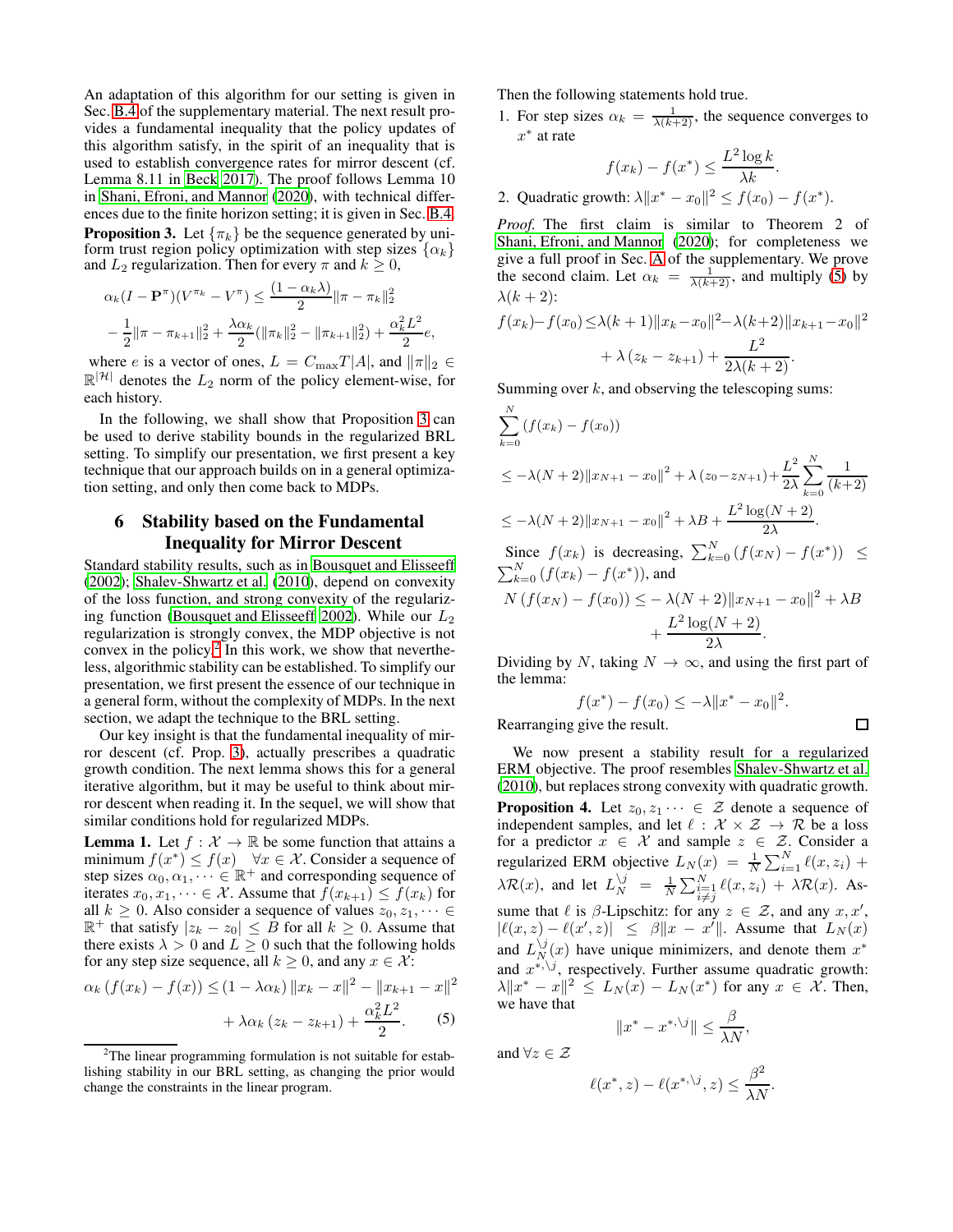An adaptation of this algorithm for our setting is given in Sec. [B.4](#page-14-0) of the supplementary material. The next result provides a fundamental inequality that the policy updates of this algorithm satisfy, in the spirit of an inequality that is used to establish convergence rates for mirror descent (cf. Lemma 8.11 in [Beck 2017](#page-7-30)). The proof follows Lemma 10 in [Shani, Efroni, and Mannor \(2020](#page-7-8)), with technical differences due to the finite horizon setting; it is given in Sec. [B.4.](#page-14-0) **Proposition 3.** Let  $\{\pi_k\}$  be the sequence generated by uniform trust region policy optimization with step sizes  $\{\alpha_k\}$ and  $L_2$  regularization. Then for every  $\pi$  and  $k \geq 0$ ,

<span id="page-4-1"></span>
$$
\alpha_k (I - \mathbf{P}^{\pi})(V^{\pi_k} - V^{\pi}) \le \frac{(1 - \alpha_k \lambda)}{2} ||\pi - \pi_k||_2^2
$$
  

$$
- \frac{1}{2} ||\pi - \pi_{k+1}||_2^2 + \frac{\lambda \alpha_k}{2} (||\pi_k||_2^2 - ||\pi_{k+1}||_2^2) + \frac{\alpha_k^2 L^2}{2} e,
$$

where *e* is a vector of ones,  $L = C_{\text{max}} T |A|$ , and  $||\pi||_2 \in$  $\mathbb{R}^{|\mathcal{H}|}$  denotes the  $L_2$  norm of the policy element-wise, for each history.

In the following, we shall show that Proposition [3](#page-4-1) can be used to derive stability bounds in the regularized BRL setting. To simplify our presentation, we first present a key technique that our approach builds on in a general optimization setting, and only then come back to MDPs.

### <span id="page-4-0"></span>6 Stability based on the Fundamental Inequality for Mirror Descent

Standard stability results, such as in [Bousquet and Elisseeff](#page-7-10) [\(2002\)](#page-7-10); [Shalev-Shwartz et al.](#page-7-18) [\(2010\)](#page-7-18), depend on convexity of the loss function, and strong convexity of the regulariz-ing function [\(Bousquet and Elisseeff 2002\)](#page-7-10). While our  $L_2$ regularization is strongly convex, the MDP objective is not convex in the policy.<sup>[2](#page-4-2)</sup> In this work, we show that nevertheless, algorithmic stability can be established. To simplify our presentation, we first present the essence of our technique in a general form, without the complexity of MDPs. In the next section, we adapt the technique to the BRL setting.

Our key insight is that the fundamental inequality of mirror descent (cf. Prop. [3\)](#page-4-1), actually prescribes a quadratic growth condition. The next lemma shows this for a general iterative algorithm, but it may be useful to think about mirror descent when reading it. In the sequel, we will show that similar conditions hold for regularized MDPs.

**Lemma 1.** Let  $f : \mathcal{X} \to \mathbb{R}$  be some function that attains a minimum  $f(x^*) \leq f(x) \quad \forall x \in \mathcal{X}$ . Consider a sequence of step sizes  $\alpha_0, \alpha_1, \cdots \in \mathbb{R}^+$  and corresponding sequence of iterates  $x_0, x_1, \dots \in \mathcal{X}$ . Assume that  $f(x_{k+1}) \le f(x_k)$  for all  $k \geq 0$ . Also consider a sequence of values  $z_0, z_1, \dots \in$  $\mathbb{R}^+$  that satisfy  $|z_k - z_0| \leq B$  for all  $k \geq 0$ . Assume that there exists  $\lambda > 0$  and  $L \ge 0$  such that the following holds for any step size sequence, all  $k \geq 0$ , and any  $x \in \mathcal{X}$ :

$$
\alpha_k (f(x_k) - f(x)) \le (1 - \lambda \alpha_k) \|x_k - x\|^2 - \|x_{k+1} - x\|^2
$$

$$
+ \lambda \alpha_k (z_k - z_{k+1}) + \frac{\alpha_k^2 L^2}{2}.
$$
 (5)

Then the following statements hold true.

1. For step sizes  $\alpha_k = \frac{1}{\lambda(k+2)}$ , the sequence converges to  $x^*$  at rate

$$
f(x_k) - f(x^*) \le \frac{L^2 \log k}{\lambda k}.
$$

2. Quadratic growth:  $\lambda \|x^* - x_0\|^2 \le f(x_0) - f(x^*).$ 

*Proof.* The first claim is similar to Theorem 2 of [Shani, Efroni, and Mannor](#page-7-8) [\(2020\)](#page-7-8); for completeness we give a full proof in Sec. [A](#page-9-0) of the supplementary. We prove the second claim. Let  $\alpha_k = \frac{1}{\lambda(k+2)}$ , and multiply [\(5\)](#page-4-3) by  $\lambda(k+2)$ : 2

$$
f(x_k) - f(x_0) \le \lambda (k+1) \|x_k - x_0\|^2 - \lambda (k+2) \|x_{k+1} - x_0\|^2
$$
  
+  $\lambda (z_k - z_{k+1}) + \frac{L^2}{2\lambda (k+2)}$ .

Summing over  $k$ , and observing the telescoping sums:

$$
\sum_{k=0}^{N} (f(x_k) - f(x_0))
$$
\n
$$
\leq -\lambda (N+2) \|x_{N+1} - x_0\|^2 + \lambda (z_0 - z_{N+1}) + \frac{L^2}{2\lambda} \sum_{k=0}^{N} \frac{1}{(k+2)}
$$
\n
$$
\leq -\lambda (N+2) \|x_{N+1} - x_0\|^2 + \lambda B + \frac{L^2 \log(N+2)}{2\lambda}.
$$
\nSince  $f(x_k)$  is decreasing,  $\sum_{k=0}^{N} (f(x_N) - f(x^*)) \leq \sum_{k=0}^{N} (f(x_k) - f(x^*))$ , and\n
$$
N (f(x_N) - f(x_0)) \leq -\lambda (N+2) \|x_{N+1} - x_0\|^2 + \lambda B + \frac{L^2 \log(N+2)}{2\lambda}.
$$

Dividing by N, taking  $N \to \infty$ , and using the first part of the lemma:

$$
f(x^*) - f(x_0) \le -\lambda \|x^* - x_0\|^2.
$$
  
g give the result.

Rearranging give the result.

<span id="page-4-4"></span>We now present a stability result for a regularized ERM objective. The proof resembles [Shalev-Shwartz et al.](#page-7-18) [\(2010\)](#page-7-18), but replaces strong convexity with quadratic growth. **Proposition 4.** Let  $z_0, z_1 \cdots \in \mathcal{Z}$  denote a sequence of independent samples, and let  $\ell : \mathcal{X} \times \mathcal{Z} \rightarrow \mathcal{R}$  be a loss for a predictor  $x \in \mathcal{X}$  and sample  $z \in \mathcal{Z}$ . Consider a regularized ERM objective  $L_N(x) = \frac{1}{N} \sum_{i=1}^N \ell(x, z_i)$  +  $\lambda \mathcal{R}(x)$ , and let  $L_N^{\setminus j} = \frac{1}{N} \sum_{\substack{i=1 \ i \neq j}}^N \ell(x, z_i) + \lambda \mathcal{R}(x)$ . Assume that  $\ell$  is  $\beta$ -Lipschitz: for any  $z \in \mathcal{Z}$ , and any  $x, x'$ ,  $|\ell(x, z) - \ell(x', z)| \leq \beta \|x - x'\|$ . Assume that  $L_N(x)$ and  $L_N^{\backslash j}(x)$  have unique minimizers, and denote them  $x^*$ and  $x^{*,\backslash j}$ , respectively. Further assume quadratic growth:  $\lambda \|x^* - x\|^2 \leq L_N(x) - L_N(x^*)$  for any  $x \in \mathcal{X}$ . Then, we have that

$$
||x^* - x^{*,\backslash j}|| \le \frac{\beta}{\lambda N},
$$

<span id="page-4-3"></span>and  $\forall z \in \mathcal{Z}$ 

$$
\ell(x^*, z) - \ell(x^{*, \backslash j}, z) \leq \frac{\beta^2}{\lambda N}.
$$

<span id="page-4-2"></span><sup>&</sup>lt;sup>2</sup>The linear programming formulation is not suitable for establishing stability in our BRL setting, as changing the prior would change the constraints in the linear program.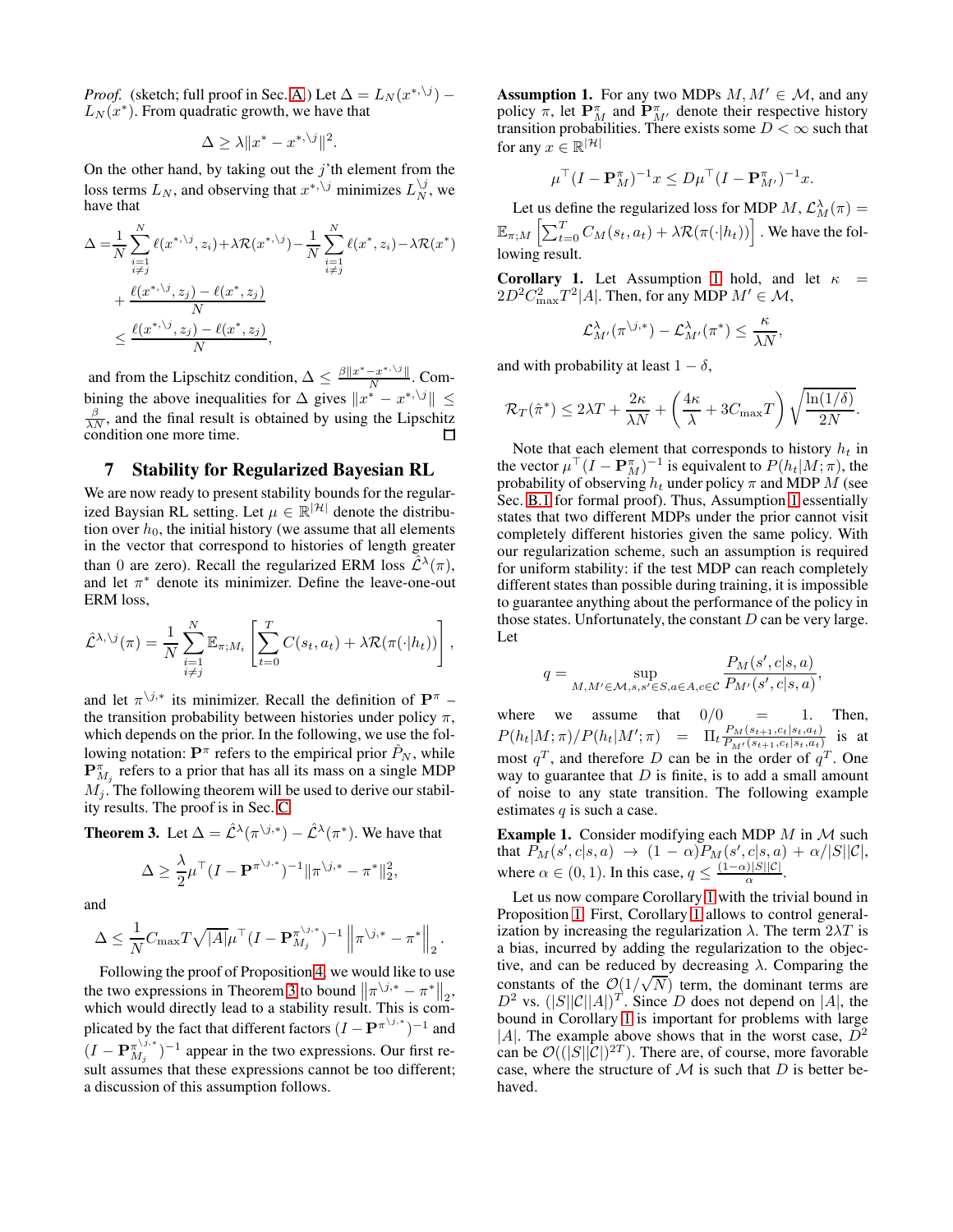*Proof.* (sketch; full proof in Sec. [A.](#page-9-0)) Let  $\Delta = L_N(x^{*,\backslash j})$  –  $L_N(x^*)$ . From quadratic growth, we have that

$$
\Delta \ge \lambda \|x^* - x^{*,\backslash j}\|^2.
$$

On the other hand, by taking out the  $j'$ <sup>th</sup> element from the loss terms  $L_N$ , and observing that  $x^{*,\backslash j}$  minimizes  $L_N^{j,j}$ , we have that

$$
\Delta = \frac{1}{N} \sum_{\substack{i=1 \ i \neq j}}^{N} \ell(x^{*, \backslash j}, z_i) + \lambda \mathcal{R}(x^{*, \backslash j}) - \frac{1}{N} \sum_{\substack{i=1 \ i \neq j}}^{N} \ell(x^*, z_i) - \lambda \mathcal{R}(x^*)
$$
  
+ 
$$
\frac{\ell(x^{*, \backslash j}, z_j) - \ell(x^*, z_j)}{N}
$$
  

$$
\leq \frac{\ell(x^{*, \backslash j}, z_j) - \ell(x^*, z_j)}{N},
$$

and from the Lipschitz condition,  $\Delta \leq \frac{\beta ||x^* - x^{*,\setminus j}||}{N}$  $\frac{-x+3}{N}$ . Combining the above inequalities for  $\Delta$  gives  $||x^* - x^{*,\backslash j}|| \le$  $\frac{\beta}{\lambda N}$ , and the final result is obtained by using the Lipschitz condition one more time.

### <span id="page-5-0"></span>7 Stability for Regularized Bayesian RL

We are now ready to present stability bounds for the regularized Baysian RL setting. Let  $\mu \in \mathbb{R}^{|\mathcal{H}|}$  denote the distribution over  $h_0$ , the initial history (we assume that all elements in the vector that correspond to histories of length greater than 0 are zero). Recall the regularized ERM loss  $\hat{\mathcal{L}}^{\lambda}(\pi)$ , and let  $\pi^*$  denote its minimizer. Define the leave-one-out ERM loss,

$$
\hat{\mathcal{L}}^{\lambda,\backslash j}(\pi) = \frac{1}{N} \sum_{\substack{i=1 \\ i \neq j}}^N \mathbb{E}_{\pi;M_i} \left[ \sum_{t=0}^T C(s_t, a_t) + \lambda \mathcal{R}(\pi(\cdot | h_t)) \right],
$$

and let  $\pi^{j,*}$  its minimizer. Recall the definition of  $\mathbf{P}^{\pi}$  – the transition probability between histories under policy  $\pi$ , which depends on the prior. In the following, we use the following notation:  $\mathbf{P}^{\pi}$  refers to the empirical prior  $\hat{P}_N$ , while  ${\bf P}^{\pi}_{M_j}$  refers to a prior that has all its mass on a single MDP  $M_i$ . The following theorem will be used to derive our stability results. The proof is in Sec. [C.](#page-17-0)

<span id="page-5-1"></span>**Theorem 3.** Let  $\Delta = \hat{\mathcal{L}}^{\lambda}(\pi^{\backslash j,*}) - \hat{\mathcal{L}}^{\lambda}(\pi^*)$ . We have that

$$
\Delta \geq \frac{\lambda}{2}\mu^\top (I - \mathbf{P}^{\pi^{\backslash j,*}})^{-1} \|\pi^{\backslash j,*} - \pi^*\|_2^2,
$$

and

$$
\Delta \leq \frac{1}{N} C_{\text{max}} T \sqrt{|A|} \mu^{\top} (I - \mathbf{P}_{M_j}^{\pi^{\backslash j,*}})^{-1} \left\| \pi^{\backslash j,*} - \pi^* \right\|_2.
$$

Following the proof of Proposition [4,](#page-4-4) we would like to use the two expressions in Theorem [3](#page-5-1) to bound  $\left\|\pi^{j,*} - \pi^*\right\|_2$ , which would directly lead to a stability result. This is complicated by the fact that different factors  $(I - P^{\pi^{\setminus j,*}})^{-1}$  and  $(I - \mathbf{P}_{M_j}^{\pi^{\backslash j,*}}$  $\binom{\pi^{\setminus j,*}}{M_j}$ <sup>-1</sup> appear in the two expressions. Our first result assumes that these expressions cannot be too different; a discussion of this assumption follows.

<span id="page-5-2"></span>**Assumption 1.** For any two MDPs  $M, M' \in \mathcal{M}$ , and any policy  $\pi$ , let  $\mathbf{P}_{M}^{\pi}$  and  $\mathbf{P}_{M'}^{\pi}$  denote their respective history transition probabilities. There exists some  $D < \infty$  such that for any  $x \in \mathbb{R}^{|\mathcal{H}|}$ 

$$
\mu^{\top} (I - \mathbf{P}_{M}^{\pi})^{-1} x \le D \mu^{\top} (I - \mathbf{P}_{M'}^{\pi})^{-1} x.
$$

Let us define the regularized loss for MDP  $M$ ,  $\mathcal{L}_M^{\lambda}(\pi) =$  $\mathbb{E}_{\pi;M}\left[\sum_{t=0}^T C_M(s_t,a_t)+\lambda \mathcal{R}(\pi(\cdot|h_t))\right]$  . We have the following result.

<span id="page-5-3"></span>**Corollary [1](#page-5-2).** Let Assumption 1 hold, and let  $\kappa$  =  $2D^2C_{\text{max}}^2T^2|A|$ . Then, for any MDP  $M' \in \mathcal{M}$ ,

$$
\mathcal{L}^{\lambda}_{M'}(\pi^{\backslash j,*})-\mathcal{L}^{\lambda}_{M'}(\pi^*)\leq \frac{\kappa}{\lambda N},
$$

and with probability at least  $1 - \delta$ ,

$$
\mathcal{R}_T(\hat{\pi}^*) \le 2\lambda T + \frac{2\kappa}{\lambda N} + \left(\frac{4\kappa}{\lambda} + 3C_{\max}T\right)\sqrt{\frac{\ln(1/\delta)}{2N}}.
$$

Note that each element that corresponds to history  $h_t$  in the vector  $\mu^{-}(I - \mathbf{P}_{M}^{\pi})^{-1}$  is equivalent to  $P(h_t|M;\pi)$ , the probability of observing  $h_t$  under policy  $\pi$  and MDP  $M$  (see Sec. [B.1](#page-11-0) for formal proof). Thus, Assumption [1](#page-5-2) essentially states that two different MDPs under the prior cannot visit completely different histories given the same policy. With our regularization scheme, such an assumption is required for uniform stability: if the test MDP can reach completely different states than possible during training, it is impossible to guarantee anything about the performance of the policy in those states. Unfortunately, the constant  $D$  can be very large. Let

$$
q = \sup_{M,M' \in \mathcal{M}, s,s' \in S, a \in A, c \in \mathcal{C}} \frac{P_M(s',c|s,a)}{P_{M'}(s',c|s,a)},
$$

where we assume that  $0/0 = 1$ . Then,  $P(h_t|M;\pi)/P(h_t|M';\pi) = \Pi_t \frac{P_M(s_{t+1},c_t|s_t,a_t)}{P_{M'}(s_{t+1},c_t|s_t,a_t)}$  $\frac{F_M(s_{t+1}, c_t|s_t, a_t)}{P_{M'}(s_{t+1}, c_t|s_t, a_t)}$  is at most  $q^T$ , and therefore D can be in the order of  $q^T$ . One way to guarantee that  $D$  is finite, is to add a small amount of noise to any state transition. The following example estimates  $q$  is such a case.

**Example 1.** Consider modifying each MDP  $M$  in  $M$  such that  $P_M(s',c|s,a) \rightarrow (1-\alpha)P_M(s',c|s,a) + \alpha/|S||\mathcal{C}|,$ where  $\alpha \in (0, 1)$ . In this case,  $q \leq \frac{(1-\alpha)|S||C|}{\alpha}$  $\frac{15\|\mathcal{C}\|}{\alpha}$ .

Let us now compare Corollary [1](#page-5-3) with the trivial bound in Proposition [1.](#page-2-5) First, Corollary [1](#page-5-3) allows to control generalization by increasing the regularization  $\lambda$ . The term  $2\lambda T$  is a bias, incurred by adding the regularization to the objective, and can be reduced by decreasing  $\lambda$ . Comparing the constants of the  $O(1/\sqrt{N})$  term, the dominant terms are  $D^2$  vs.  $(|S||C||A|)^T$ . Since D does not depend on |A|, the bound in Corollary [1](#page-5-3) is important for problems with large |A|. The example above shows that in the worst case,  $D^2$ can be  $\mathcal{O}((|S||C|)^{2T})$ . There are, of course, more favorable case, where the structure of  $M$  is such that  $D$  is better behaved.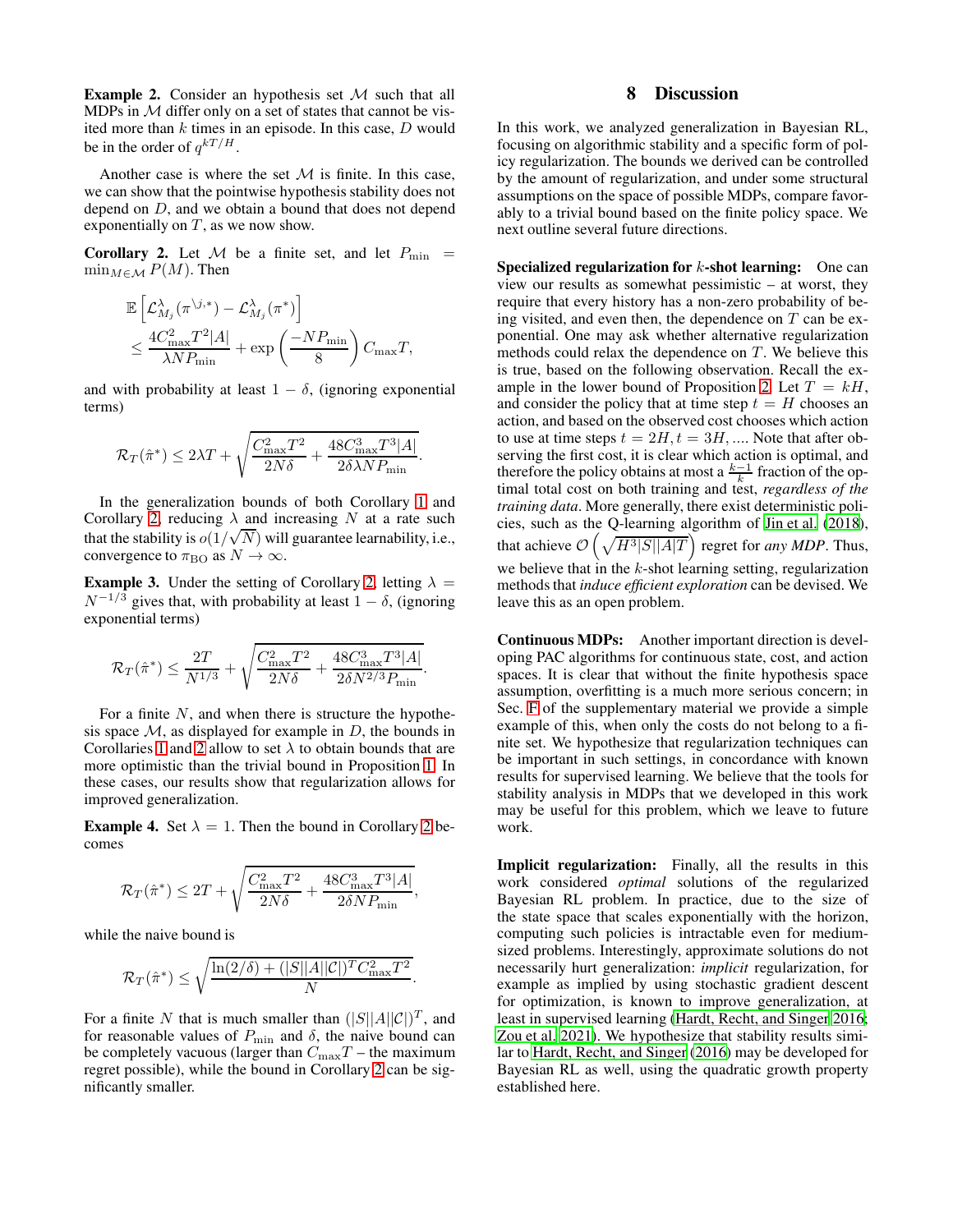**Example 2.** Consider an hypothesis set  $M$  such that all MDPs in  $M$  differ only on a set of states that cannot be visited more than  $k$  times in an episode. In this case,  $D$  would be in the order of  $q^{kT/H}$ .

Another case is where the set  $M$  is finite. In this case, we can show that the pointwise hypothesis stability does not depend on D, and we obtain a bound that does not depend exponentially on  $T$ , as we now show.

<span id="page-6-1"></span>**Corollary 2.** Let M be a finite set, and let  $P_{\min}$  =  $\min_{M \in \mathcal{M}} P(M)$ . Then

$$
\mathbb{E}\left[\mathcal{L}_{M_j}^{\lambda}(\pi^{\backslash j,*})-\mathcal{L}_{M_j}^{\lambda}(\pi^*)\right] \n\leq \frac{4C_{\max}^2T^2|A|}{\lambda NP_{\min}}+\exp\left(\frac{-NP_{\min}}{8}\right)C_{\max}T,
$$

and with probability at least  $1 - \delta$ , (ignoring exponential terms)

$$
\mathcal{R}_T(\hat{\pi}^*) \le 2\lambda T + \sqrt{\frac{C_{\text{max}}^2 T^2}{2N\delta} + \frac{48C_{\text{max}}^3 T^3 |A|}{2\delta\lambda N P_{\text{min}}}}.
$$

In the generalization bounds of both Corollary [1](#page-5-3) and Corollary [2,](#page-6-1) reducing  $\lambda$  and increasing N at a rate such that the stability is  $o(1/\sqrt{N})$  will guarantee learnability, i.e., convergence to  $\pi_{\rm BO}$  as  $N \to \infty$ .

**Example 3.** Under the setting of Corollary [2,](#page-6-1) letting  $\lambda =$  $N^{-1/3}$  gives that, with probability at least  $1 - \delta$ , (ignoring exponential terms)

$$
\mathcal{R}_T(\hat{\pi}^*) \le \frac{2T}{N^{1/3}} + \sqrt{\frac{C_{\text{max}}^2 T^2}{2N\delta} + \frac{48C_{\text{max}}^3 T^3 |A|}{2\delta N^{2/3} P_{\text{min}}}}
$$

.

.

For a finite  $N$ , and when there is structure the hypothesis space  $M$ , as displayed for example in  $D$ , the bounds in Corollaries [1](#page-5-3) and [2](#page-6-1) allow to set  $\lambda$  to obtain bounds that are more optimistic than the trivial bound in Proposition [1.](#page-2-5) In these cases, our results show that regularization allows for improved generalization.

**Example 4.** Set  $\lambda = 1$ . Then the bound in Corollary [2](#page-6-1) becomes

$$
\mathcal{R}_T(\hat{\pi}^*) \le 2T + \sqrt{\frac{C_{\text{max}}^2 T^2}{2N\delta} + \frac{48C_{\text{max}}^3 T^3 |A|}{2\delta N P_{\text{min}}}},
$$

while the naive bound is

$$
\mathcal{R}_T(\hat{\pi}^*) \le \sqrt{\frac{\ln(2/\delta) + (|S||A||\mathcal{C}|)^TC_{\max}^2T^2}{N}}
$$

For a finite N that is much smaller than  $(|S||A||C|)^T$ , and for reasonable values of  $P_{\text{min}}$  and  $\delta$ , the naive bound can be completely vacuous (larger than  $C_{\text{max}}T$  – the maximum regret possible), while the bound in Corollary [2](#page-6-1) can be significantly smaller.

### 8 Discussion

<span id="page-6-0"></span>In this work, we analyzed generalization in Bayesian RL, focusing on algorithmic stability and a specific form of policy regularization. The bounds we derived can be controlled by the amount of regularization, and under some structural assumptions on the space of possible MDPs, compare favorably to a trivial bound based on the finite policy space. We next outline several future directions.

**Specialized regularization for k-shot learning:** One can view our results as somewhat pessimistic – at worst, they require that every history has a non-zero probability of being visited, and even then, the dependence on  $T$  can be exponential. One may ask whether alternative regularization methods could relax the dependence on  $T$ . We believe this is true, based on the following observation. Recall the ex-ample in the lower bound of Proposition [2.](#page-2-1) Let  $T = kH$ , and consider the policy that at time step  $t = H$  chooses an action, and based on the observed cost chooses which action to use at time steps  $t = 2H, t = 3H, \dots$ . Note that after observing the first cost, it is clear which action is optimal, and therefore the policy obtains at most a  $\frac{k-1}{k}$  fraction of the optimal total cost on both training and test, *regardless of the training data*. More generally, there exist deterministic policies, such as the Q-learning algorithm of [Jin et al. \(2018](#page-7-2)), that achieve  $\mathcal{O}\left(\sqrt{H^3|S||A|T}\right)$  regret for *any MDP*. Thus, we believe that in the  $k$ -shot learning setting, regularization methods that *induce efficient exploration* can be devised. We leave this as an open problem.

Continuous MDPs: Another important direction is developing PAC algorithms for continuous state, cost, and action spaces. It is clear that without the finite hypothesis space assumption, overfitting is a much more serious concern; in Sec. [F](#page-21-0) of the supplementary material we provide a simple example of this, when only the costs do not belong to a finite set. We hypothesize that regularization techniques can be important in such settings, in concordance with known results for supervised learning. We believe that the tools for stability analysis in MDPs that we developed in this work may be useful for this problem, which we leave to future work.

Implicit regularization: Finally, all the results in this work considered *optimal* solutions of the regularized Bayesian RL problem. In practice, due to the size of the state space that scales exponentially with the horizon, computing such policies is intractable even for mediumsized problems. Interestingly, approximate solutions do not necessarily hurt generalization: *implicit* regularization, for example as implied by using stochastic gradient descent for optimization, is known to improve generalization, at least in supervised learning [\(Hardt, Recht, and Singer 2016](#page-7-19); [Zou et al. 2021\)](#page-8-3). We hypothesize that stability results similar to [Hardt, Recht, and Singer \(2016\)](#page-7-19) may be developed for Bayesian RL as well, using the quadratic growth property established here.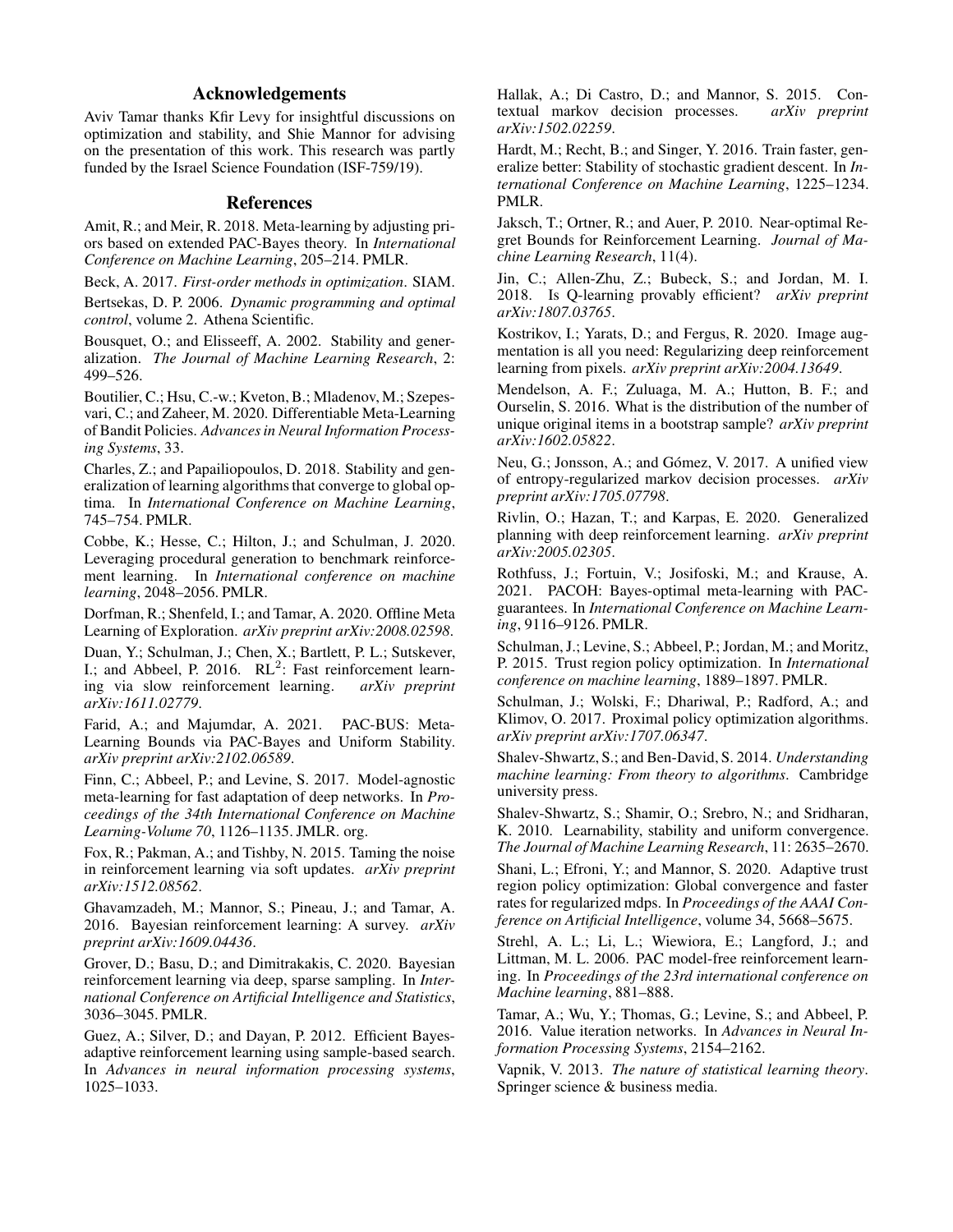### Acknowledgements

Aviv Tamar thanks Kfir Levy for insightful discussions on optimization and stability, and Shie Mannor for advising on the presentation of this work. This research was partly funded by the Israel Science Foundation (ISF-759/19).

### References

<span id="page-7-21"></span>Amit, R.; and Meir, R. 2018. Meta-learning by adjusting priors based on extended PAC-Bayes theory. In *International Conference on Machine Learning*, 205–214. PMLR.

<span id="page-7-30"></span>Beck, A. 2017. *First-order methods in optimization*. SIAM.

<span id="page-7-24"></span>Bertsekas, D. P. 2006. *Dynamic programming and optimal control*, volume 2. Athena Scientific.

<span id="page-7-10"></span>Bousquet, O.; and Elisseeff, A. 2002. Stability and generalization. *The Journal of Machine Learning Research*, 2: 499–526.

<span id="page-7-14"></span>Boutilier, C.; Hsu, C.-w.; Kveton, B.; Mladenov, M.; Szepesvari, C.; and Zaheer, M. 2020. Differentiable Meta-Learning of Bandit Policies. *Advances in Neural Information Processing Systems*, 33.

<span id="page-7-20"></span>Charles, Z.; and Papailiopoulos, D. 2018. Stability and generalization of learning algorithms that converge to global optima. In *International Conference on Machine Learning*, 745–754. PMLR.

<span id="page-7-12"></span>Cobbe, K.; Hesse, C.; Hilton, J.; and Schulman, J. 2020. Leveraging procedural generation to benchmark reinforcement learning. In *International conference on machine learning*, 2048–2056. PMLR.

<span id="page-7-5"></span>Dorfman, R.; Shenfeld, I.; and Tamar, A. 2020. Offline Meta Learning of Exploration. *arXiv preprint arXiv:2008.02598*.

<span id="page-7-4"></span>Duan, Y.; Schulman, J.; Chen, X.; Bartlett, P. L.; Sutskever, I.; and Abbeel, P. 2016.  $RL<sup>2</sup>$ : Fast reinforcement learning via slow reinforcement learning. *arXiv preprint arXiv:1611.02779*.

<span id="page-7-23"></span>Farid, A.; and Majumdar, A. 2021. PAC-BUS: Meta-Learning Bounds via PAC-Bayes and Uniform Stability. *arXiv preprint arXiv:2102.06589*.

<span id="page-7-6"></span>Finn, C.; Abbeel, P.; and Levine, S. 2017. Model-agnostic meta-learning for fast adaptation of deep networks. In *Proceedings of the 34th International Conference on Machine Learning-Volume 70*, 1126–1135. JMLR. org.

<span id="page-7-28"></span>Fox, R.; Pakman, A.; and Tishby, N. 2015. Taming the noise in reinforcement learning via soft updates. *arXiv preprint arXiv:1512.08562*.

<span id="page-7-3"></span>Ghavamzadeh, M.; Mannor, S.; Pineau, J.; and Tamar, A. 2016. Bayesian reinforcement learning: A survey. *arXiv preprint arXiv:1609.04436*.

<span id="page-7-17"></span>Grover, D.; Basu, D.; and Dimitrakakis, C. 2020. Bayesian reinforcement learning via deep, sparse sampling. In *International Conference on Artificial Intelligence and Statistics*, 3036–3045. PMLR.

<span id="page-7-16"></span>Guez, A.; Silver, D.; and Dayan, P. 2012. Efficient Bayesadaptive reinforcement learning using sample-based search. In *Advances in neural information processing systems*, 1025–1033.

<span id="page-7-26"></span>Hallak, A.; Di Castro, D.; and Mannor, S. 2015. Contextual markov decision processes. *arXiv preprint arXiv:1502.02259*.

<span id="page-7-19"></span>Hardt, M.; Recht, B.; and Singer, Y. 2016. Train faster, generalize better: Stability of stochastic gradient descent. In *International Conference on Machine Learning*, 1225–1234. PMLR.

<span id="page-7-1"></span>Jaksch, T.; Ortner, R.; and Auer, P. 2010. Near-optimal Regret Bounds for Reinforcement Learning. *Journal of Machine Learning Research*, 11(4).

<span id="page-7-2"></span>Jin, C.; Allen-Zhu, Z.; Bubeck, S.; and Jordan, M. I. 2018. Is Q-learning provably efficient? *arXiv preprint arXiv:1807.03765*.

<span id="page-7-13"></span>Kostrikov, I.; Yarats, D.; and Fergus, R. 2020. Image augmentation is all you need: Regularizing deep reinforcement learning from pixels. *arXiv preprint arXiv:2004.13649*.

<span id="page-7-31"></span>Mendelson, A. F.; Zuluaga, M. A.; Hutton, B. F.; and Ourselin, S. 2016. What is the distribution of the number of unique original items in a bootstrap sample? *arXiv preprint arXiv:1602.05822*.

<span id="page-7-9"></span>Neu, G.; Jonsson, A.; and Gómez, V. 2017. A unified view of entropy-regularized markov decision processes. *arXiv preprint arXiv:1705.07798*.

<span id="page-7-15"></span>Rivlin, O.; Hazan, T.; and Karpas, E. 2020. Generalized planning with deep reinforcement learning. *arXiv preprint arXiv:2005.02305*.

<span id="page-7-22"></span>Rothfuss, J.; Fortuin, V.; Josifoski, M.; and Krause, A. 2021. PACOH: Bayes-optimal meta-learning with PACguarantees. In *International Conference on Machine Learning*, 9116–9126. PMLR.

<span id="page-7-29"></span>Schulman, J.; Levine, S.; Abbeel, P.; Jordan, M.; and Moritz, P. 2015. Trust region policy optimization. In *International conference on machine learning*, 1889–1897. PMLR.

<span id="page-7-7"></span>Schulman, J.; Wolski, F.; Dhariwal, P.; Radford, A.; and Klimov, O. 2017. Proximal policy optimization algorithms. *arXiv preprint arXiv:1707.06347*.

<span id="page-7-27"></span>Shalev-Shwartz, S.; and Ben-David, S. 2014. *Understanding machine learning: From theory to algorithms*. Cambridge university press.

<span id="page-7-18"></span>Shalev-Shwartz, S.; Shamir, O.; Srebro, N.; and Sridharan, K. 2010. Learnability, stability and uniform convergence. *The Journal of Machine Learning Research*, 11: 2635–2670.

<span id="page-7-8"></span>Shani, L.; Efroni, Y.; and Mannor, S. 2020. Adaptive trust region policy optimization: Global convergence and faster rates for regularized mdps. In *Proceedings of the AAAI Conference on Artificial Intelligence*, volume 34, 5668–5675.

<span id="page-7-0"></span>Strehl, A. L.; Li, L.; Wiewiora, E.; Langford, J.; and Littman, M. L. 2006. PAC model-free reinforcement learning. In *Proceedings of the 23rd international conference on Machine learning*, 881–888.

<span id="page-7-11"></span>Tamar, A.; Wu, Y.; Thomas, G.; Levine, S.; and Abbeel, P. 2016. Value iteration networks. In *Advances in Neural Information Processing Systems*, 2154–2162.

<span id="page-7-25"></span>Vapnik, V. 2013. *The nature of statistical learning theory*. Springer science & business media.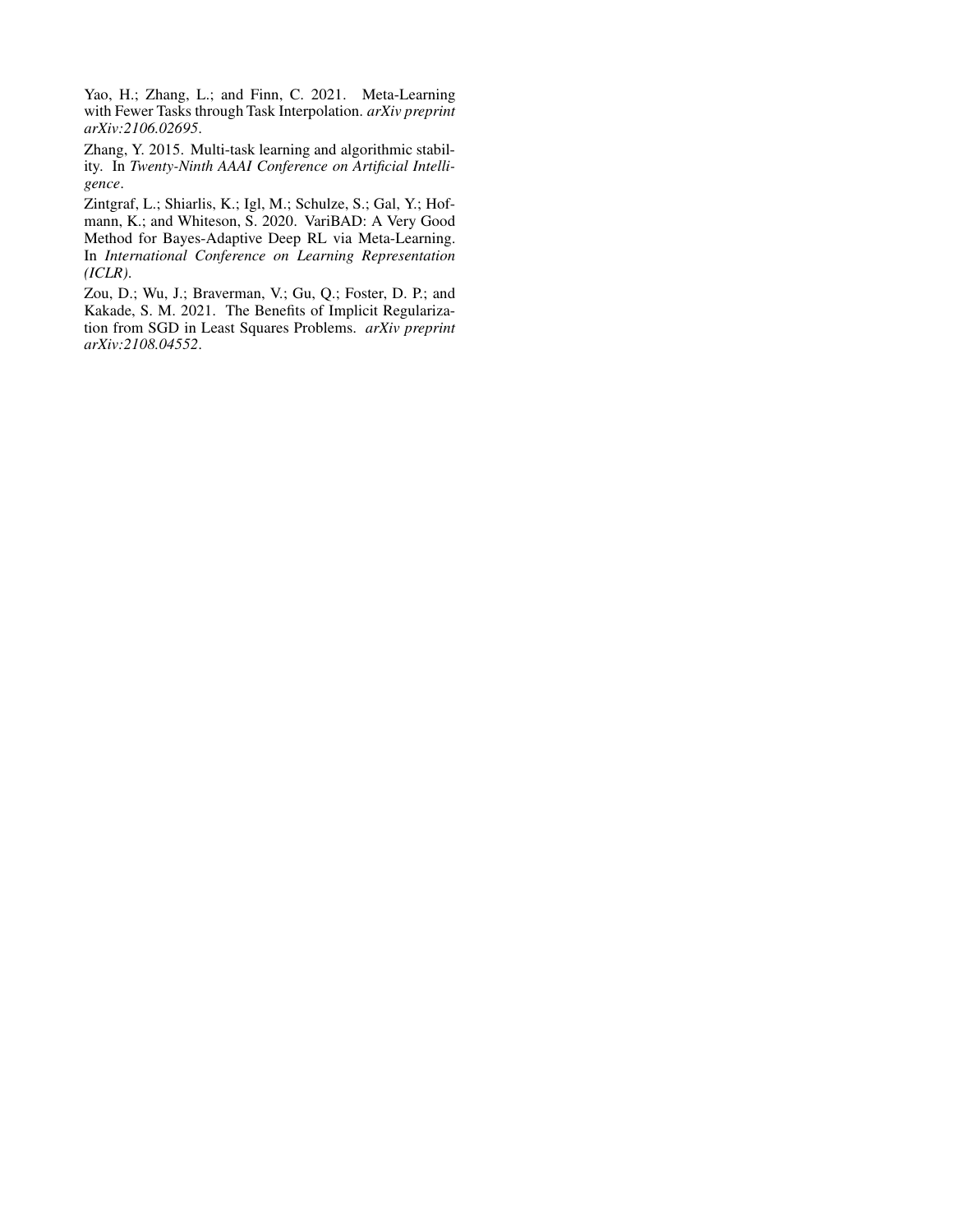<span id="page-8-1"></span>Yao, H.; Zhang, L.; and Finn, C. 2021. Meta-Learning with Fewer Tasks through Task Interpolation. *arXiv preprint arXiv:2106.02695*.

<span id="page-8-2"></span>Zhang, Y. 2015. Multi-task learning and algorithmic stability. In *Twenty-Ninth AAAI Conference on Artificial Intelligence*.

<span id="page-8-0"></span>Zintgraf, L.; Shiarlis, K.; Igl, M.; Schulze, S.; Gal, Y.; Hofmann, K.; and Whiteson, S. 2020. VariBAD: A Very Good Method for Bayes-Adaptive Deep RL via Meta-Learning. In *International Conference on Learning Representation (ICLR)*.

<span id="page-8-3"></span>Zou, D.; Wu, J.; Braverman, V.; Gu, Q.; Foster, D. P.; and Kakade, S. M. 2021. The Benefits of Implicit Regularization from SGD in Least Squares Problems. *arXiv preprint arXiv:2108.04552*.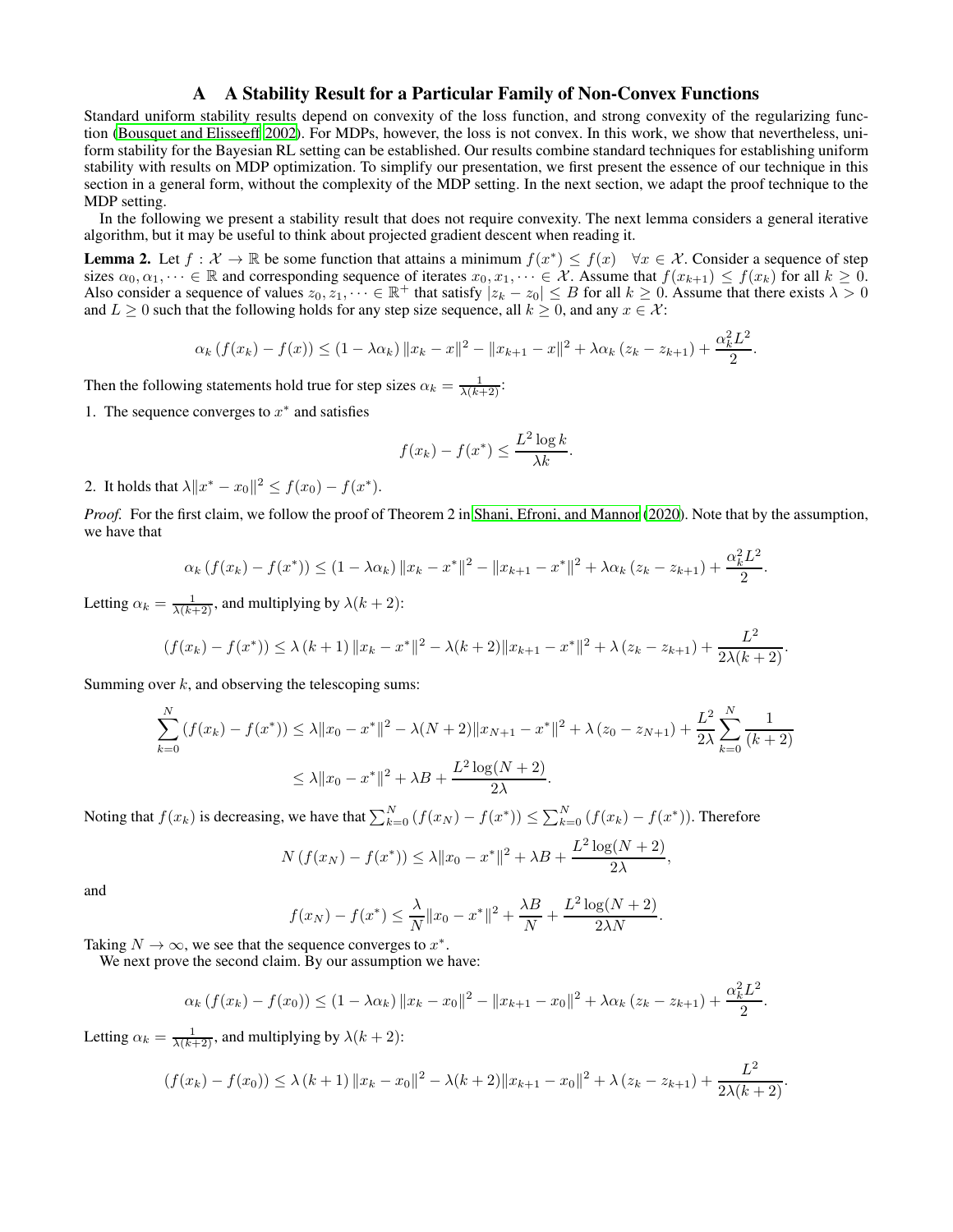### A A Stability Result for a Particular Family of Non-Convex Functions

<span id="page-9-0"></span>Standard uniform stability results depend on convexity of the loss function, and strong convexity of the regularizing function [\(Bousquet and Elisseeff 2002](#page-7-10)). For MDPs, however, the loss is not convex. In this work, we show that nevertheless, uniform stability for the Bayesian RL setting can be established. Our results combine standard techniques for establishing uniform stability with results on MDP optimization. To simplify our presentation, we first present the essence of our technique in this section in a general form, without the complexity of the MDP setting. In the next section, we adapt the proof technique to the MDP setting.

In the following we present a stability result that does not require convexity. The next lemma considers a general iterative algorithm, but it may be useful to think about projected gradient descent when reading it.

<span id="page-9-1"></span>**Lemma 2.** Let  $f: \mathcal{X} \to \mathbb{R}$  be some function that attains a minimum  $f(x^*) \leq f(x)$   $\forall x \in \mathcal{X}$ . Consider a sequence of step sizes  $\alpha_0, \alpha_1, \dots \in \mathbb{R}$  and corresponding sequence of iterates  $x_0, x_1, \dots \in \mathcal{X}$ . Assume that  $f(x_{k+1}) \le f(x_k)$  for all  $k \ge 0$ . Also consider a sequence of values  $z_0, z_1, \dots \in \mathbb{R}^+$  that satisfy  $|z_k - z_0| \leq B$  for all  $k \geq 0$ . Assume that there exists  $\lambda > 0$ and  $L \geq 0$  such that the following holds for any step size sequence, all  $k \geq 0$ , and any  $x \in \mathcal{X}$ :

$$
\alpha_k \left( f(x_k) - f(x) \right) \le (1 - \lambda \alpha_k) \|x_k - x\|^2 - \|x_{k+1} - x\|^2 + \lambda \alpha_k \left( z_k - z_{k+1} \right) + \frac{\alpha_k^2 L^2}{2}.
$$

Then the following statements hold true for step sizes  $\alpha_k = \frac{1}{\lambda(k+2)}$ :

1. The sequence converges to  $x^*$  and satisfies

$$
f(x_k) - f(x^*) \le \frac{L^2 \log k}{\lambda k}.
$$

2. It holds that  $\lambda \|x^* - x_0\|^2 \le f(x_0) - f(x^*).$ 

*Proof.* For the first claim, we follow the proof of Theorem 2 in [Shani, Efroni, and Mannor](#page-7-8) [\(2020\)](#page-7-8). Note that by the assumption, we have that

$$
\alpha_k \left( f(x_k) - f(x^*) \right) \leq (1 - \lambda \alpha_k) \|x_k - x^*\|^2 - \|x_{k+1} - x^*\|^2 + \lambda \alpha_k (z_k - z_{k+1}) + \frac{\alpha_k^2 L^2}{2}.
$$

Letting  $\alpha_k = \frac{1}{\lambda(k+2)}$ , and multiplying by  $\lambda(k+2)$ :

$$
(f(x_k) - f(x^*)) \le \lambda (k+1) \|x_k - x^*\|^2 - \lambda (k+2) \|x_{k+1} - x^*\|^2 + \lambda (z_k - z_{k+1}) + \frac{L^2}{2\lambda (k+2)}.
$$

Summing over  $k$ , and observing the telescoping sums:

$$
\sum_{k=0}^{N} (f(x_k) - f(x^*)) \le \lambda \|x_0 - x^*\|^2 - \lambda(N+2) \|x_{N+1} - x^*\|^2 + \lambda (z_0 - z_{N+1}) + \frac{L^2}{2\lambda} \sum_{k=0}^{N} \frac{1}{(k+2)}
$$
  

$$
\le \lambda \|x_0 - x^*\|^2 + \lambda B + \frac{L^2 \log(N+2)}{2\lambda}.
$$

Noting that  $f(x_k)$  is decreasing, we have that  $\sum_{k=0}^{N} (f(x_N) - f(x^*)) \le \sum_{k=0}^{N} (f(x_k) - f(x^*))$ . Therefore

$$
N(f(x_N) - f(x^*)) \le \lambda \|x_0 - x^*\|^2 + \lambda B + \frac{L^2 \log(N + 2)}{2\lambda},
$$

and

$$
f(x_N) - f(x^*) \le \frac{\lambda}{N} \|x_0 - x^*\|^2 + \frac{\lambda B}{N} + \frac{L^2 \log(N + 2)}{2\lambda N}.
$$

Taking  $N \to \infty$ , we see that the sequence converges to  $x^*$ .

We next prove the second claim. By our assumption we have:

$$
\alpha_k \left( f(x_k) - f(x_0) \right) \leq (1 - \lambda \alpha_k) \|x_k - x_0\|^2 - \|x_{k+1} - x_0\|^2 + \lambda \alpha_k (z_k - z_{k+1}) + \frac{\alpha_k^2 L^2}{2}.
$$

Letting  $\alpha_k = \frac{1}{\lambda(k+2)}$ , and multiplying by  $\lambda(k+2)$ :

$$
(f(x_k) - f(x_0)) \leq \lambda (k+1) \|x_k - x_0\|^2 - \lambda (k+2) \|x_{k+1} - x_0\|^2 + \lambda (z_k - z_{k+1}) + \frac{L^2}{2\lambda (k+2)}.
$$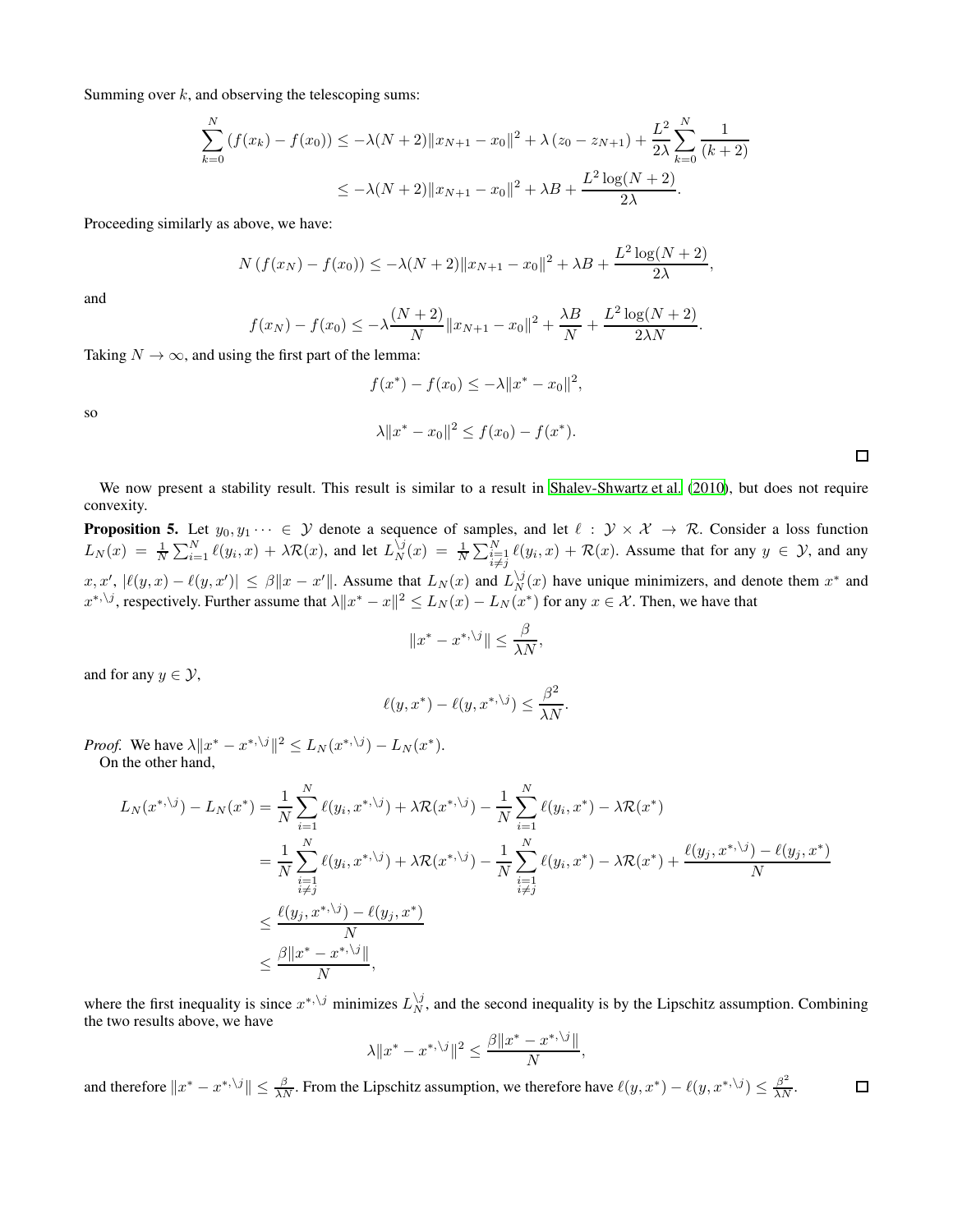Summing over  $k$ , and observing the telescoping sums:

$$
\sum_{k=0}^{N} (f(x_k) - f(x_0)) \le -\lambda (N+2) \|x_{N+1} - x_0\|^2 + \lambda (z_0 - z_{N+1}) + \frac{L^2}{2\lambda} \sum_{k=0}^{N} \frac{1}{(k+2)}
$$
  

$$
\le -\lambda (N+2) \|x_{N+1} - x_0\|^2 + \lambda B + \frac{L^2 \log(N+2)}{2\lambda}.
$$

Proceeding similarly as above, we have:

$$
N(f(x_N) - f(x_0)) \le -\lambda (N+2) \|x_{N+1} - x_0\|^2 + \lambda B + \frac{L^2 \log(N+2)}{2\lambda},
$$

and

$$
f(x_N) - f(x_0) \le -\lambda \frac{(N+2)}{N} \|x_{N+1} - x_0\|^2 + \frac{\lambda B}{N} + \frac{L^2 \log(N+2)}{2\lambda N}.
$$

Taking  $N \to \infty$ , and using the first part of the lemma:

$$
f(x^*) - f(x_0) \le -\lambda \|x^* - x_0\|^2,
$$

 $\lambda \|x^* - x_0\|^2 \le f(x_0) - f(x^*).$ 

so

We now present a stability result. This result is similar to a result in [Shalev-Shwartz et al. \(2010](#page-7-18)), but does not require convexity.

<span id="page-10-0"></span>**Proposition 5.** Let  $y_0, y_1 \cdots \in \mathcal{Y}$  denote a sequence of samples, and let  $\ell : \mathcal{Y} \times \mathcal{X} \to \mathcal{R}$ . Consider a loss function  $L_N(x) = \frac{1}{N} \sum_{i=1}^N \ell(y_i, x) + \lambda \mathcal{R}(x)$ , and let  $L_N^{\setminus j}(x) = \frac{1}{N} \sum_{\substack{i=1 \ i \neq j}}^N \ell(y_i, x) + \mathcal{R}(x)$ . Assume that for any  $y \in \mathcal{Y}$ , and any  $\|x, x', \,|\ell(y, x) - \ell(y, x')\| \leq \beta \|x - x'\|$ . Assume that  $L_N(x)$  and  $L_N^{y}(x)$  have unique minimizers, and denote them  $x^*$  and  $x^{*,\backslash j}$ , respectively. Further assume that  $\lambda \|x^* - x\|^2 \le L_N(x) - L_N(x^*)$  for any  $x \in \mathcal{X}$ . Then, we have that

$$
||x^* - x^{*,\backslash j}|| \le \frac{\beta}{\lambda N},
$$

and for any  $y \in \mathcal{Y}$ ,

$$
\ell(y, x^*) - \ell(y, x^{*,\backslash j}) \le \frac{\beta^2}{\lambda N}.
$$

*Proof.* We have  $\lambda \|x^* - x^{*,\backslash j}\|^2 \le L_N(x^{*,\backslash j}) - L_N(x^*).$ On the other hand,

$$
L_N(x^{*,\backslash j}) - L_N(x^*) = \frac{1}{N} \sum_{i=1}^N \ell(y_i, x^{*,\backslash j}) + \lambda \mathcal{R}(x^{*,\backslash j}) - \frac{1}{N} \sum_{i=1}^N \ell(y_i, x^*) - \lambda \mathcal{R}(x^*)
$$
  
\n
$$
= \frac{1}{N} \sum_{\substack{i=1 \ i \neq j}}^N \ell(y_i, x^{*,\backslash j}) + \lambda \mathcal{R}(x^{*,\backslash j}) - \frac{1}{N} \sum_{\substack{i=1 \ i \neq j}}^N \ell(y_i, x^*) - \lambda \mathcal{R}(x^*) + \frac{\ell(y_j, x^{*,\backslash j}) - \ell(y_j, x^*)}{N}
$$
  
\n
$$
\leq \frac{\ell(y_j, x^{*,\backslash j}) - \ell(y_j, x^*)}{N}
$$
  
\n
$$
\leq \frac{\beta ||x^* - x^{*,\backslash j}||}{N},
$$

where the first inequality is since  $x^{*,\backslash j}$  minimizes  $L_N^{\backslash j}$ , and the second inequality is by the Lipschitz assumption. Combining the two results above, we have

$$
\lambda \|x^* - x^{*,\backslash j}\|^2 \le \frac{\beta \|x^* - x^{*,\backslash j}\|}{N},
$$

and therefore  $||x^* - x^{*,\backslash j}|| \leq \frac{\beta}{\lambda N}$ . From the Lipschitz assumption, we therefore have  $\ell(y, x^*) - \ell(y, x^{*,\backslash j}) \leq \frac{\beta^2}{\lambda N}$ .  $\Box$ 

 $\Box$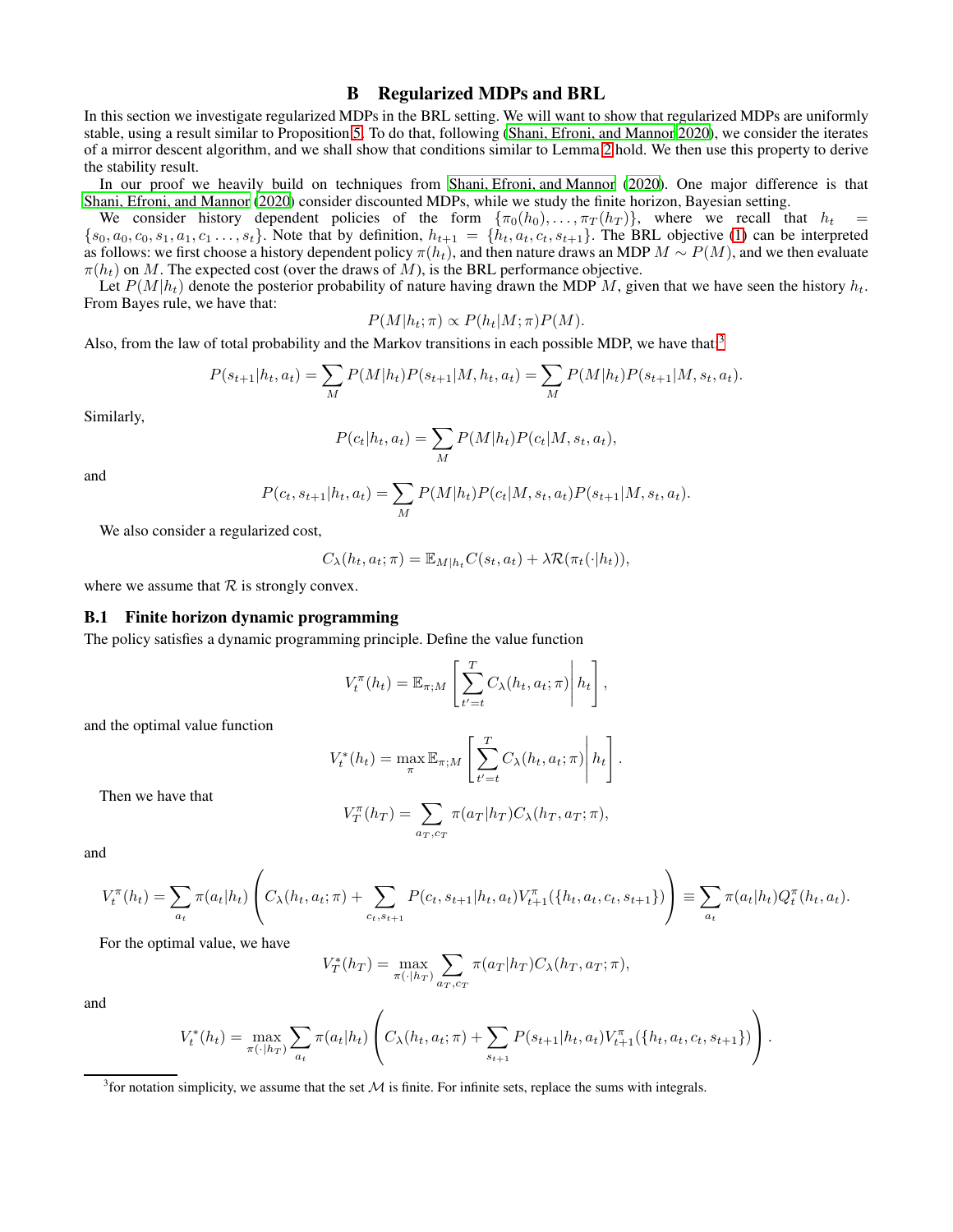### B Regularized MDPs and BRL

In this section we investigate regularized MDPs in the BRL setting. We will want to show that regularized MDPs are uniformly stable, using a result similar to Proposition [5.](#page-10-0) To do that, following [\(Shani, Efroni, and Mannor 2020\)](#page-7-8), we consider the iterates of a mirror descent algorithm, and we shall show that conditions similar to Lemma [2](#page-9-1) hold. We then use this property to derive the stability result.

In our proof we heavily build on techniques from [Shani, Efroni, and Mannor](#page-7-8) [\(2020\)](#page-7-8). One major difference is that [Shani, Efroni, and Mannor \(2020\)](#page-7-8) consider discounted MDPs, while we study the finite horizon, Bayesian setting.

We consider history dependent policies of the form  $\{\pi_0(h_0), \ldots, \pi_T(h_T)\}$ , where we recall that  $h_t =$  ${s_0, a_0, c_0, s_1, a_1, c_1 \ldots, s_t}$ . Note that by definition,  $h_{t+1} = \{\dot{h}_t, a_t, c_t, s_{t+1}\}$ . The BRL objective [\(1\)](#page-1-3) can be interpreted as follows: we first choose a history dependent policy  $\pi(h_t)$ , and then nature draws an MDP  $M \sim P(M)$ , and we then evaluate  $\pi(h_t)$  on M. The expected cost (over the draws of M), is the BRL performance objective.

Let  $P(M|h_t)$  denote the posterior probability of nature having drawn the MDP M, given that we have seen the history  $h_t$ . From Bayes rule, we have that:

$$
P(M|h_t; \pi) \propto P(h_t|M; \pi) P(M).
$$

Also, from the law of total probability and the Markov transitions in each possible MDP, we have that:<sup>[3](#page-11-1)</sup>

$$
P(s_{t+1}|h_t, a_t) = \sum_{M} P(M|h_t)P(s_{t+1}|M, h_t, a_t) = \sum_{M} P(M|h_t)P(s_{t+1}|M, s_t, a_t).
$$

Similarly,

$$
P(c_t|h_t, a_t) = \sum_M P(M|h_t)P(c_t|M, s_t, a_t),
$$

and

$$
P(c_t, s_{t+1}|h_t, a_t) = \sum_M P(M|h_t)P(c_t|M, s_t, a_t)P(s_{t+1}|M, s_t, a_t).
$$

We also consider a regularized cost,

$$
C_{\lambda}(h_t, a_t; \pi) = \mathbb{E}_{M|h_t} C(s_t, a_t) + \lambda \mathcal{R}(\pi_t(\cdot|h_t)),
$$

<span id="page-11-0"></span>where we assume that  $R$  is strongly convex.

#### B.1 Finite horizon dynamic programming

The policy satisfies a dynamic programming principle. Define the value function

$$
V_t^{\pi}(h_t) = \mathbb{E}_{\pi;M} \left[ \sum_{t'=t}^T C_{\lambda}(h_t, a_t; \pi) \middle| h_t \right],
$$

and the optimal value function

$$
V_t^*(h_t) = \max_{\pi} \mathbb{E}_{\pi;M} \left[ \sum_{t'=t}^T C_{\lambda}(h_t, a_t; \pi) \middle| h_t \right].
$$

Then we have that

$$
V_T^{\pi}(h_T) = \sum_{a_T, c_T} \pi(a_T|h_T) C_{\lambda}(h_T, a_T; \pi),
$$

and

$$
V_t^{\pi}(h_t) = \sum_{a_t} \pi(a_t|h_t) \left( C_{\lambda}(h_t, a_t; \pi) + \sum_{c_t, s_{t+1}} P(c_t, s_{t+1}|h_t, a_t) V_{t+1}^{\pi}(\{h_t, a_t, c_t, s_{t+1}\}) \right) \equiv \sum_{a_t} \pi(a_t|h_t) Q_t^{\pi}(h_t, a_t).
$$

For the optimal value, we have

$$
V_T^*(h_T) = \max_{\pi(\cdot|h_T)} \sum_{a_T, c_T} \pi(a_T|h_T) C_\lambda(h_T, a_T; \pi),
$$

and

$$
V_t^*(h_t) = \max_{\pi(\cdot|h_T)} \sum_{a_t} \pi(a_t|h_t) \left( C_{\lambda}(h_t, a_t; \pi) + \sum_{s_{t+1}} P(s_{t+1}|h_t, a_t) V_{t+1}^{\pi}(\{h_t, a_t, c_t, s_{t+1}\}) \right).
$$

<span id="page-11-1"></span> $3$  for notation simplicity, we assume that the set  $M$  is finite. For infinite sets, replace the sums with integrals.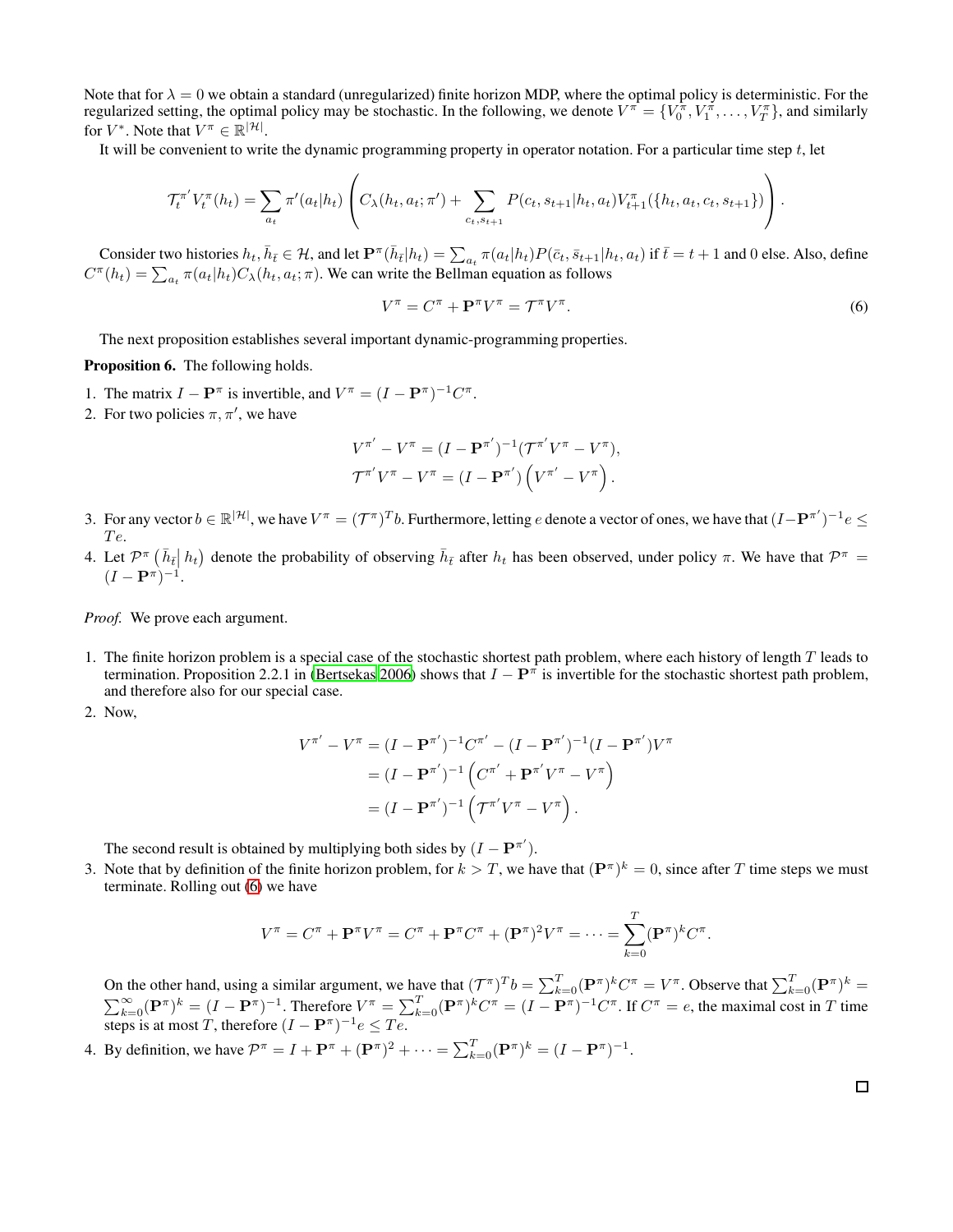Note that for  $\lambda = 0$  we obtain a standard (unregularized) finite horizon MDP, where the optimal policy is deterministic. For the regularized setting, the optimal policy may be stochastic. In the following, we denote  $V^{\pi} = \{V_0^{\pi}, V_1^{\pi}, \dots, V_T^{\pi}\}$ , and similarly for  $V^*$ . Note that  $V^{\pi} \in \mathbb{R}^{|\mathcal{H}|}$ .

It will be convenient to write the dynamic programming property in operator notation. For a particular time step  $t$ , let

$$
\mathcal{T}_{t}^{\pi'} V_{t}^{\pi}(h_{t}) = \sum_{a_{t}} \pi'(a_{t}|h_{t}) \left( C_{\lambda}(h_{t}, a_{t}; \pi') + \sum_{c_{t}, s_{t+1}} P(c_{t}, s_{t+1}|h_{t}, a_{t}) V_{t+1}^{\pi}(\{h_{t}, a_{t}, c_{t}, s_{t+1}\}) \right).
$$

Consider two histories  $h_t$ ,  $\bar{h}_{\bar{t}} \in \mathcal{H}$ , and let  $\mathbf{P}^{\pi}(\bar{h}_{\bar{t}}|h_t) = \sum_{a_t} \pi(a_t|h_t) P(\bar{c}_t, \bar{s}_{t+1}|h_t, a_t)$  if  $\bar{t} = t + 1$  and 0 else. Also, define  $C^{\pi}(h_t) = \sum_{a_t} \pi(a_t | h_t) C_{\lambda}(h_t, a_t; \pi)$ . We can write the Bellman equation as follows

<span id="page-12-0"></span>
$$
V^{\pi} = C^{\pi} + \mathbf{P}^{\pi} V^{\pi} = \mathcal{T}^{\pi} V^{\pi}.
$$
 (6)

The next proposition establishes several important dynamic-programming properties.

<span id="page-12-1"></span>Proposition 6. The following holds.

- 1. The matrix  $I \mathbf{P}^{\pi}$  is invertible, and  $V^{\pi} = (I \mathbf{P}^{\pi})^{-1} C^{\pi}$ .
- 2. For two policies  $\pi, \pi'$ , we have

$$
V^{\pi'} - V^{\pi} = (I - \mathbf{P}^{\pi'})^{-1} (\mathcal{T}^{\pi'} V^{\pi} - V^{\pi}),
$$
  

$$
\mathcal{T}^{\pi'} V^{\pi} - V^{\pi} = (I - \mathbf{P}^{\pi'}) \left( V^{\pi'} - V^{\pi} \right).
$$

- 3. For any vector  $b \in \mathbb{R}^{|\mathcal{H}|}$ , we have  $V^{\pi} = (\mathcal{T}^{\pi})^T b$ . Furthermore, letting e denote a vector of ones, we have that  $(I \mathbf{P}^{\pi'})^{-1} e \leq$ Te.
- 4. Let  $\mathcal{P}^{\pi}(\bar{h}_{\bar{t}}|h_t)$  denote the probability of observing  $\bar{h}_{\bar{t}}$  after  $h_t$  has been observed, under policy  $\pi$ . We have that  $\mathcal{P}^{\pi} =$  $(I - P^{\pi})^{-1}.$

*Proof.* We prove each argument.

- 1. The finite horizon problem is a special case of the stochastic shortest path problem, where each history of length  $T$  leads to termination. Proposition 2.2.1 in [\(Bertsekas 2006](#page-7-24)) shows that  $I - P^{\pi}$  is invertible for the stochastic shortest path problem, and therefore also for our special case.
- 2. Now,

$$
V^{\pi'} - V^{\pi} = (I - \mathbf{P}^{\pi'})^{-1} C^{\pi'} - (I - \mathbf{P}^{\pi'})^{-1} (I - \mathbf{P}^{\pi'}) V^{\pi}
$$
  
=  $(I - \mathbf{P}^{\pi'})^{-1} (C^{\pi'} + \mathbf{P}^{\pi'} V^{\pi} - V^{\pi})$   
=  $(I - \mathbf{P}^{\pi'})^{-1} (T^{\pi'} V^{\pi} - V^{\pi}).$ 

The second result is obtained by multiplying both sides by  $(I - P^{\pi'}).$ 

3. Note that by definition of the finite horizon problem, for  $k > T$ , we have that  $(\mathbf{P}^{\pi})^k = 0$ , since after T time steps we must terminate. Rolling out [\(6\)](#page-12-0) we have

$$
V^{\pi} = C^{\pi} + \mathbf{P}^{\pi} V^{\pi} = C^{\pi} + \mathbf{P}^{\pi} C^{\pi} + (\mathbf{P}^{\pi})^2 V^{\pi} = \dots = \sum_{k=0}^{T} (\mathbf{P}^{\pi})^k C^{\pi}.
$$

On the other hand, using a similar argument, we have that  $(\mathcal{T}^{\pi})^T b = \sum_{k=0}^T (\mathbf{P}^{\pi})^k C^{\pi} = V^{\pi}$ . Observe that  $\sum_{k=0}^T (\mathbf{P}^{\pi})^k =$  $\sum_{k=0}^{\infty} (\mathbf{P}^{\pi})^k = (I - \mathbf{P}^{\pi})^{-1}$ . Therefore  $V^{\pi} = \sum_{k=0}^{T} (\mathbf{P}^{\pi})^k C^{\pi} = (I - \mathbf{P}^{\pi})^{-1} C^{\pi}$ . If  $C^{\pi} = e$ , the maximal cost in T time steps is at most T, therefore  $(I - P^{\pi})^{-1} e \leq T e$ .

4. By definition, we have  $\mathcal{P}^{\pi} = I + \mathbf{P}^{\pi} + (\mathbf{P}^{\pi})^2 + \cdots = \sum_{k=0}^{T} (\mathbf{P}^{\pi})^k = (I - \mathbf{P}^{\pi})^{-1}$ .

 $\Box$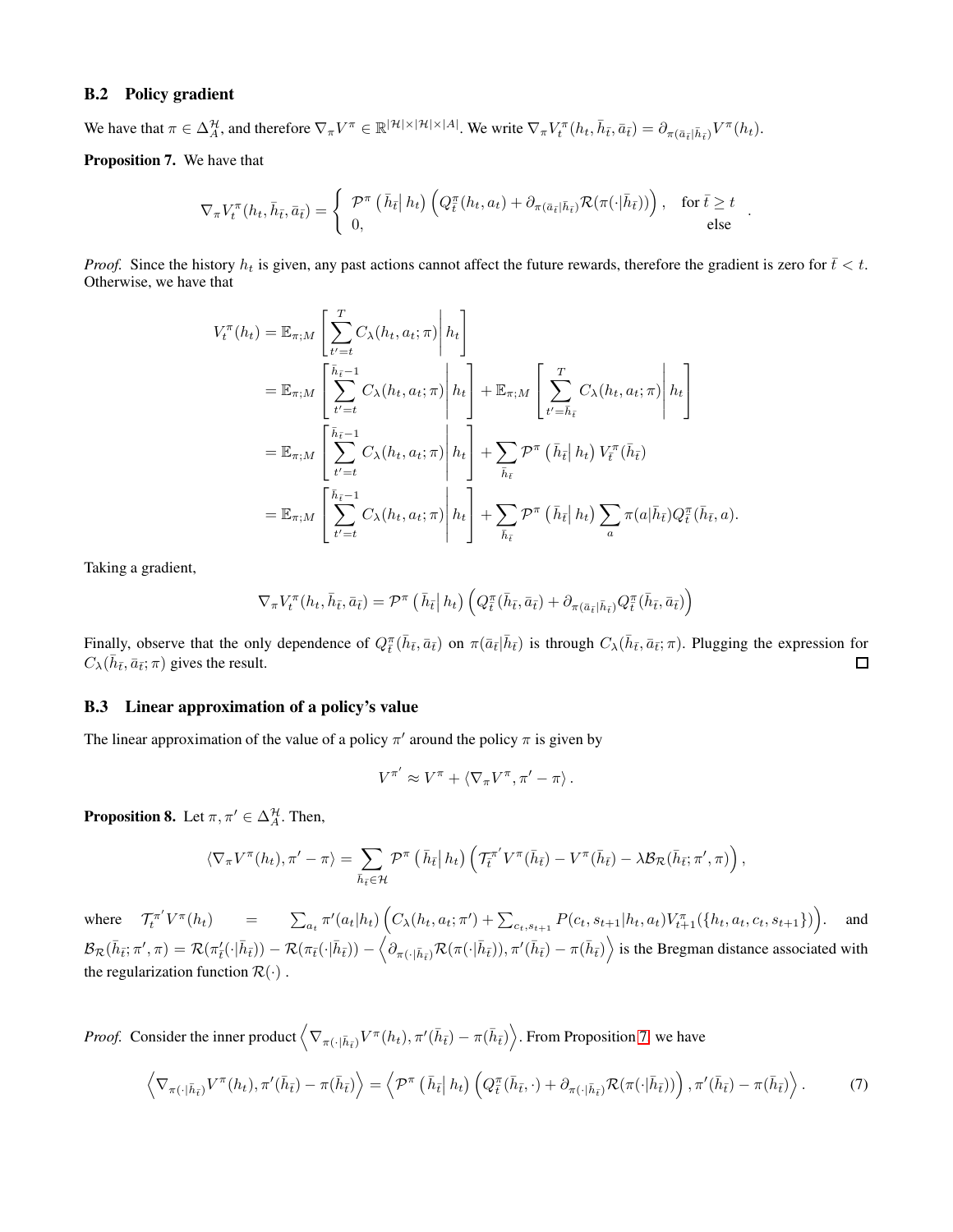### B.2 Policy gradient

We have that  $\pi \in \Delta_A^{\mathcal{H}}$ , and therefore  $\nabla_{\pi} V^{\pi} \in \mathbb{R}^{|\mathcal{H}| \times |\mathcal{H}| \times |\mathcal{A}|}$ . We write  $\nabla_{\pi} V^{\pi}_t(h_t, \bar{h}_{\bar{t}}, \bar{a}_{\bar{t}}) = \partial_{\pi(\bar{a}_{\bar{t}} | \bar{h}_{\bar{t}})} V^{\pi}(h_t)$ .

<span id="page-13-0"></span>Proposition 7. We have that

$$
\nabla_{\pi} V_t^{\pi}(h_t, \bar{h}_{\bar{t}}, \bar{a}_{\bar{t}}) = \begin{cases} \mathcal{P}^{\pi}\left(\bar{h}_{\bar{t}} \big| h_t\right) \left(Q_{\bar{t}}^{\pi}(h_t, a_t) + \partial_{\pi(\bar{a}_{\bar{t}} | \bar{h}_{\bar{t}})} \mathcal{R}(\pi(\cdot | \bar{h}_{\bar{t}}))\right), & \text{for } \bar{t} \ge t \\ 0, & \text{else} \end{cases}
$$

.

*Proof.* Since the history  $h_t$  is given, any past actions cannot affect the future rewards, therefore the gradient is zero for  $\bar{t} < t$ . Otherwise, we have that

$$
V_t^{\pi}(h_t) = \mathbb{E}_{\pi;M} \left[ \sum_{t'=t}^T C_{\lambda}(h_t, a_t; \pi) \middle| h_t \right]
$$
  
\n
$$
= \mathbb{E}_{\pi;M} \left[ \sum_{t'=t}^{\bar{h}_{\bar{t}}-1} C_{\lambda}(h_t, a_t; \pi) \middle| h_t \right] + \mathbb{E}_{\pi;M} \left[ \sum_{t'=h_{\bar{t}}}^T C_{\lambda}(h_t, a_t; \pi) \middle| h_t \right]
$$
  
\n
$$
= \mathbb{E}_{\pi;M} \left[ \sum_{t'=t}^{\bar{h}_{\bar{t}}-1} C_{\lambda}(h_t, a_t; \pi) \middle| h_t \right] + \sum_{\bar{h}_{\bar{t}}} \mathcal{P}^{\pi} \left( \bar{h}_{\bar{t}} \middle| h_t \right) V_{\bar{t}}^{\pi}(\bar{h}_{\bar{t}})
$$
  
\n
$$
= \mathbb{E}_{\pi;M} \left[ \sum_{t'=t}^{\bar{h}_{\bar{t}}-1} C_{\lambda}(h_t, a_t; \pi) \middle| h_t \right] + \sum_{\bar{h}_{\bar{t}}} \mathcal{P}^{\pi} \left( \bar{h}_{\bar{t}} \middle| h_t \right) \sum_a \pi(a|\bar{h}_{\bar{t}}) Q_{\bar{t}}^{\pi}(\bar{h}_{\bar{t}}, a).
$$

Taking a gradient,

$$
\nabla_{\pi} V_t^{\pi} (h_t, \bar{h}_{\bar{t}}, \bar{a}_{\bar{t}}) = \mathcal{P}^{\pi} (\bar{h}_{\bar{t}} | h_t) \left( Q_{\bar{t}}^{\pi} (\bar{h}_{\bar{t}}, \bar{a}_{\bar{t}}) + \partial_{\pi(\bar{a}_{\bar{t}} | \bar{h}_{\bar{t}})} Q_{\bar{t}}^{\pi} (\bar{h}_{\bar{t}}, \bar{a}_{\bar{t}}) \right)
$$

Finally, observe that the only dependence of  $Q^{\pi}_{\bar{t}}(\bar{h}_{\bar{t}}, \bar{a}_{\bar{t}})$  on  $\pi(\bar{a}_{\bar{t}}|\bar{h}_{\bar{t}})$  is through  $C_{\lambda}(\bar{h}_{\bar{t}}, \bar{a}_{\bar{t}}; \pi)$ . Plugging the expression for  $C_{\lambda}(\bar{h}_{\bar{t}}, \bar{a}_{\bar{t}}; \pi)$  gives the result. □

### B.3 Linear approximation of a policy's value

The linear approximation of the value of a policy  $\pi'$  around the policy  $\pi$  is given by

<span id="page-13-1"></span>
$$
V^{\pi'} \approx V^{\pi} + \langle \nabla_{\pi} V^{\pi}, \pi' - \pi \rangle.
$$

<span id="page-13-2"></span>**Proposition 8.** Let  $\pi, \pi' \in \Delta_A^{\mathcal{H}}$ . Then,

$$
\langle \nabla_{\pi} V^{\pi}(h_t), \pi' - \pi \rangle = \sum_{\bar{h}_{\bar{t}} \in \mathcal{H}} \mathcal{P}^{\pi} \left( \bar{h}_{\bar{t}} \big| h_t \right) \left( \mathcal{T}_{\bar{t}}^{\pi'} V^{\pi}(\bar{h}_{\bar{t}}) - V^{\pi}(\bar{h}_{\bar{t}}) - \lambda \mathcal{B}_{\mathcal{R}}(\bar{h}_{\bar{t}}; \pi', \pi) \right),
$$

where  $\mathcal{T}_{t}^{\pi'} V^{\pi}(h_{t})$  =  $\sum_{a_{t}} \pi'(a_{t}|h_{t}) \left( C_{\lambda}(h_{t}, a_{t}; \pi') + \sum_{c_{t}, s_{t+1}} P(c_{t}, s_{t+1}|h_{t}, a_{t}) V_{t+1}^{\pi}(\{h_{t}, a_{t}, c_{t}, s_{t+1}\}) \right)$ . and  $\mathcal{B}_{\mathcal{R}}(\bar{h}_{\bar{t}};\pi',\pi)=\mathcal{R}(\pi_{\bar{t}}(\cdot|\bar{h}_{\bar{t}}))-\mathcal{R}(\pi_{\bar{t}}(\cdot|\bar{h}_{\bar{t}}))-\left\langle \partial_{\pi(\cdot|\bar{h}_{\bar{t}})}\mathcal{R}(\pi(\cdot|\bar{h}_{\bar{t}})),\pi'(\bar{h}_{\bar{t}})-\pi(\bar{h}_{\bar{t}})\right\rangle$  is the Bregman distance associated with the regularization function  $\mathcal{R}(\cdot)$ .

*Proof.* Consider the inner product  $\left\langle \nabla_{\pi(\cdot|\bar{h}_{\bar{t}})} V^{\pi}(h_t), \pi'(\bar{h}_{\bar{t}}) - \pi(\bar{h}_{\bar{t}}) \right\rangle$ . From Proposition [7,](#page-13-0) we have

$$
\left\langle \nabla_{\pi(\cdot|\bar{h}_{\bar{t}})} V^{\pi}(h_t), \pi'(\bar{h}_{\bar{t}}) - \pi(\bar{h}_{\bar{t}}) \right\rangle = \left\langle \mathcal{P}^{\pi}\left(\bar{h}_{\bar{t}}\,h_t\right) \left( Q_{\bar{t}}^{\pi}(\bar{h}_{\bar{t}}, \cdot) + \partial_{\pi(\cdot|\bar{h}_{\bar{t}})} \mathcal{R}(\pi(\cdot|\bar{h}_{\bar{t}})) \right), \pi'(\bar{h}_{\bar{t}}) - \pi(\bar{h}_{\bar{t}}) \right\rangle. \tag{7}
$$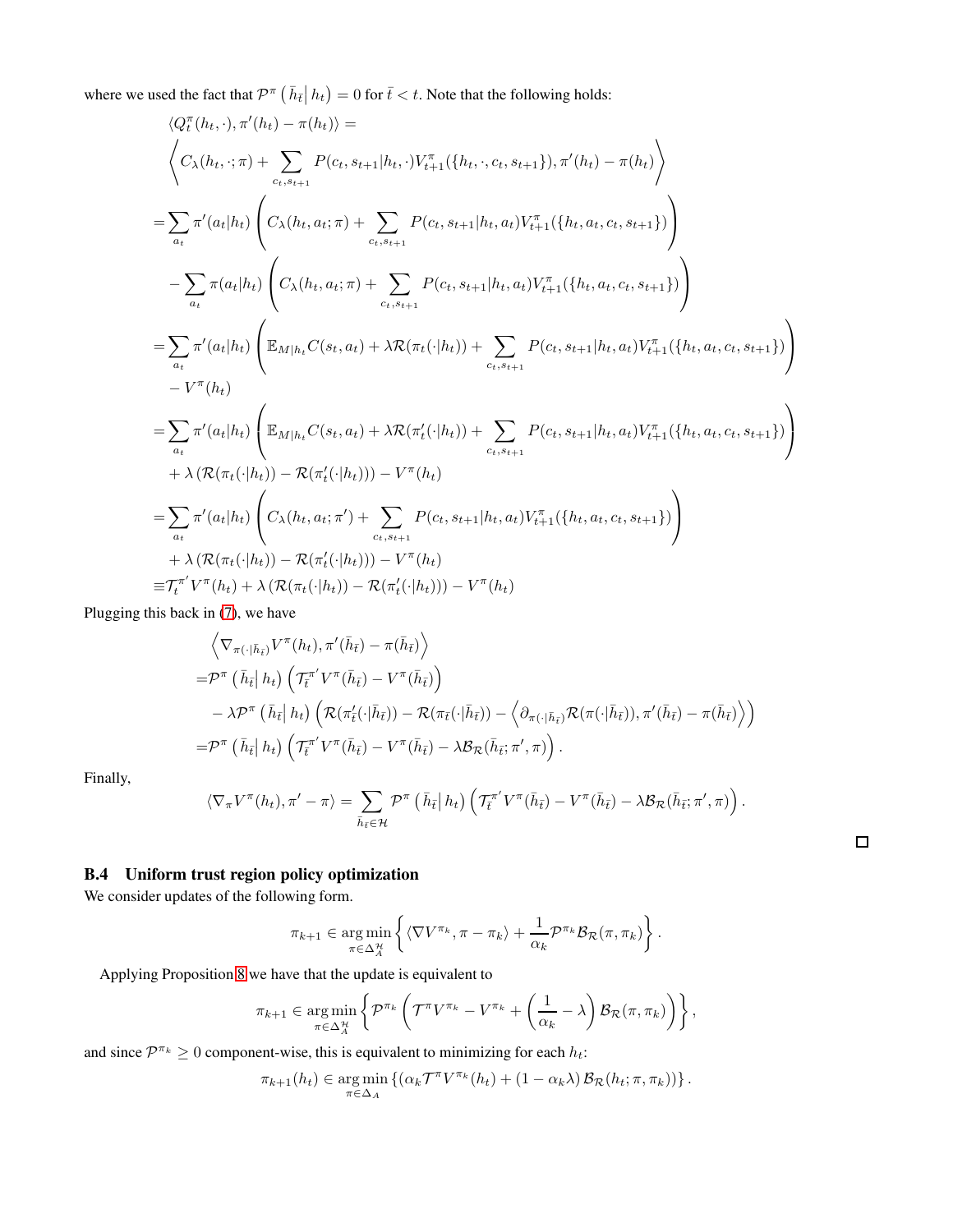where we used the fact that  $\mathcal{P}^{\pi}(\bar{h}_{\bar{t}}| h_t) = 0$  for  $\bar{t} < t$ . Note that the following holds:

$$
\langle Q_{t}^{\pi}(h_{t}, \cdot), \pi'(h_{t}) - \pi(h_{t}) \rangle =
$$
\n
$$
\langle C_{\lambda}(h_{t}, \cdot; \pi) + \sum_{c_{t}, s_{t+1}} P(c_{t}, s_{t+1}|h_{t}, \cdot) V_{t+1}^{\pi}(\{h_{t}, \cdot, c_{t}, s_{t+1}\}), \pi'(h_{t}) - \pi(h_{t}) \rangle
$$
\n
$$
= \sum_{a_{t}} \pi'(a_{t}|h_{t}) \left( C_{\lambda}(h_{t}, a_{t}; \pi) + \sum_{c_{t}, s_{t+1}} P(c_{t}, s_{t+1}|h_{t}, a_{t}) V_{t+1}^{\pi}(\{h_{t}, a_{t}, c_{t}, s_{t+1}\}) \right)
$$
\n
$$
- \sum_{a_{t}} \pi(a_{t}|h_{t}) \left( C_{\lambda}(h_{t}, a_{t}; \pi) + \sum_{c_{t}, s_{t+1}} P(c_{t}, s_{t+1}|h_{t}, a_{t}) V_{t+1}^{\pi}(\{h_{t}, a_{t}, c_{t}, s_{t+1}\}) \right)
$$
\n
$$
= \sum_{a_{t}} \pi'(a_{t}|h_{t}) \left( \mathbb{E}_{M|h_{t}} C(s_{t}, a_{t}) + \lambda \mathcal{R}(\pi_{t}(\cdot|h_{t})) + \sum_{c_{t}, s_{t+1}} P(c_{t}, s_{t+1}|h_{t}, a_{t}) V_{t+1}^{\pi}(\{h_{t}, a_{t}, c_{t}, s_{t+1}\}) \right)
$$
\n
$$
- V^{\pi}(h_{t})
$$
\n
$$
= \sum_{a_{t}} \pi'(a_{t}|h_{t}) \left( \mathbb{E}_{M|h_{t}} C(s_{t}, a_{t}) + \lambda \mathcal{R}(\pi'(\cdot|h_{t})) + \sum_{c_{t}, s_{t+1}} P(c_{t}, s_{t+1}|h_{t}, a_{t}) V_{t+1}^{\pi}(\{h_{t}, a_{t}, c_{t}, s_{t+1}\}) \right)
$$
\n
$$
+ \lambda \langle \mathcal{R}(\pi_{t}(\cdot|h_{t})) - \mathcal{R}(\pi'(\cdot|h_{t}))) - V^{\pi}(h_{t}) \rangle
$$
\n
$$
= \sum_{a_{t}} \pi'(a_{t}|h_{t}) \left( C_{\lambda}(h_{t
$$

Plugging this back in [\(7\)](#page-13-1), we have

$$
\begin{split}\n&\left\langle \nabla_{\pi(\cdot|\bar{h}_{\bar{t}})} V^{\pi}(h_{t}), \pi'(\bar{h}_{\bar{t}}) - \pi(\bar{h}_{\bar{t}}) \right\rangle \\
&= \mathcal{P}^{\pi} \left( \bar{h}_{\bar{t}} \, h_{t} \right) \left( \mathcal{T}_{\bar{t}}^{\pi'} V^{\pi}(\bar{h}_{\bar{t}}) - V^{\pi}(\bar{h}_{\bar{t}}) \right) \\
&\quad - \lambda \mathcal{P}^{\pi} \left( \bar{h}_{\bar{t}} \, h_{t} \right) \left( \mathcal{R}(\pi'_{\bar{t}}(\cdot|\bar{h}_{\bar{t}})) - \mathcal{R}(\pi_{\bar{t}}(\cdot|\bar{h}_{\bar{t}})) - \left\langle \partial_{\pi(\cdot|\bar{h}_{\bar{t}})} \mathcal{R}(\pi(\cdot|\bar{h}_{\bar{t}})), \pi'(\bar{h}_{\bar{t}}) - \pi(\bar{h}_{\bar{t}}) \right\rangle \right) \\
&= \mathcal{P}^{\pi} \left( \bar{h}_{\bar{t}} \, h_{t} \right) \left( \mathcal{T}_{\bar{t}}^{\pi'} V^{\pi}(\bar{h}_{\bar{t}}) - V^{\pi}(\bar{h}_{\bar{t}}) - \lambda \mathcal{B}_{\mathcal{R}}(\bar{h}_{\bar{t}}; \pi', \pi) \right).\n\end{split}
$$

Finally,

$$
\langle \nabla_{\pi} V^{\pi}(h_t), \pi' - \pi \rangle = \sum_{\bar{h}_{\bar{t}} \in \mathcal{H}} \mathcal{P}^{\pi} \left( \bar{h}_{\bar{t}} \,|\, h_t \right) \left( \mathcal{T}_{\bar{t}}^{\pi'} V^{\pi}(\bar{h}_{\bar{t}}) - V^{\pi}(\bar{h}_{\bar{t}}) - \lambda \mathcal{B}_{\mathcal{R}}(\bar{h}_{\bar{t}}; \pi', \pi) \right).
$$

 $\Box$ 

# <span id="page-14-0"></span>B.4 Uniform trust region policy optimization

We consider updates of the following form.

$$
\pi_{k+1} \in \underset{\pi \in \Delta_A^{\mathcal{H}}}{\arg \min} \left\{ \langle \nabla V^{\pi_k}, \pi - \pi_k \rangle + \frac{1}{\alpha_k} \mathcal{P}^{\pi_k} \mathcal{B}_{\mathcal{R}}(\pi, \pi_k) \right\}.
$$

Applying Proposition [8](#page-13-2) we have that the update is equivalent to

$$
\pi_{k+1} \in \underset{\pi \in \Delta_A^{\mathcal{H}}}{\arg \min} \left\{ \mathcal{P}^{\pi_k} \left( \mathcal{T}^{\pi} V^{\pi_k} - V^{\pi_k} + \left( \frac{1}{\alpha_k} - \lambda \right) \mathcal{B}_{\mathcal{R}}(\pi, \pi_k) \right) \right\},
$$

and since  $\mathcal{P}^{\pi_k} \geq 0$  component-wise, this is equivalent to minimizing for each  $h_t$ :

$$
\pi_{k+1}(h_t) \in \underset{\pi \in \Delta_A}{\arg \min} \left\{ (\alpha_k \mathcal{T}^{\pi} V^{\pi_k}(h_t) + (1 - \alpha_k \lambda) \mathcal{B}_{\mathcal{R}}(h_t; \pi, \pi_k)) \right\}.
$$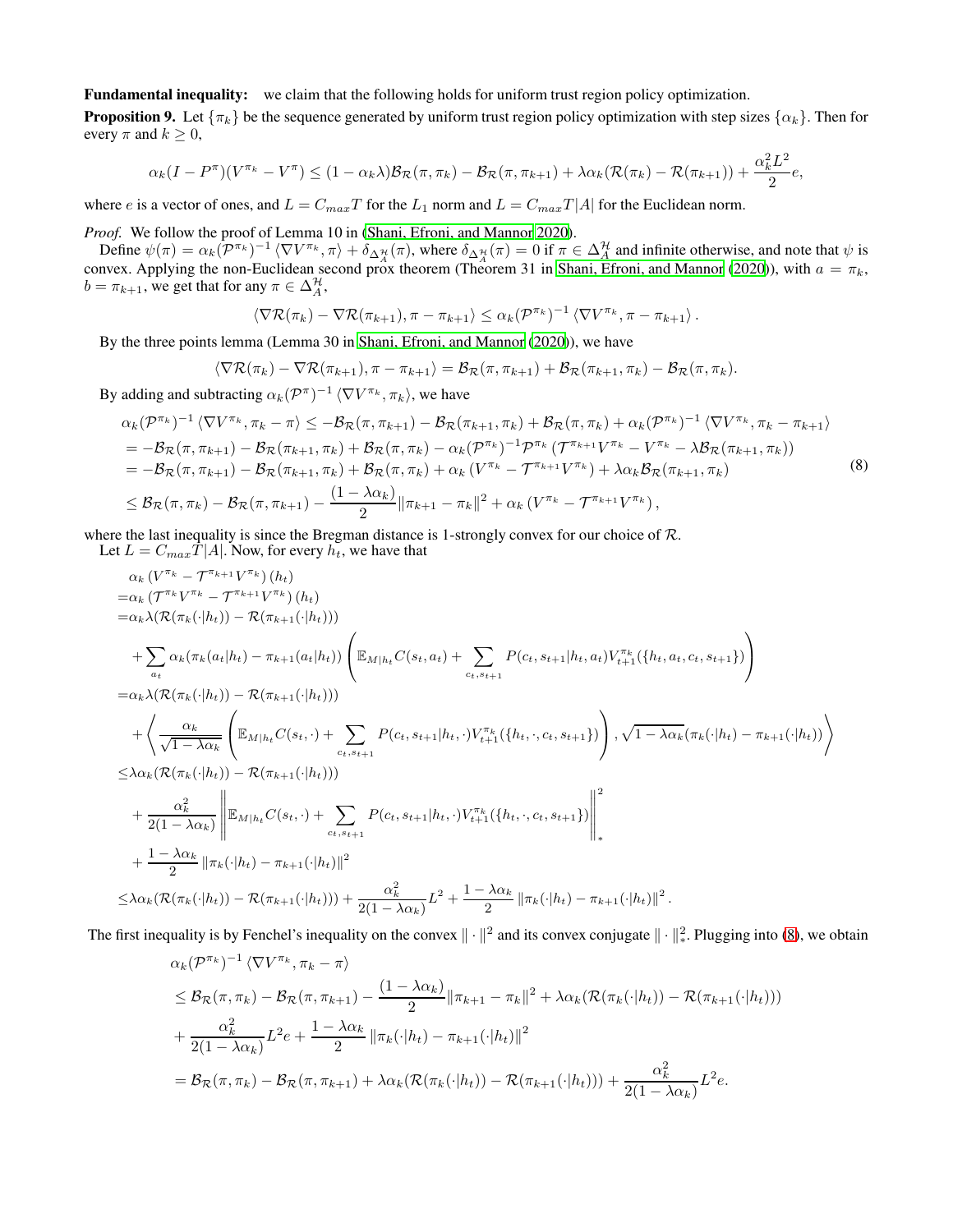Fundamental inequality: we claim that the following holds for uniform trust region policy optimization.

**Proposition 9.** Let  $\{\pi_k\}$  be the sequence generated by uniform trust region policy optimization with step sizes  $\{\alpha_k\}$ . Then for every  $\pi$  and  $k \geq 0$ ,

$$
\alpha_k(I - P^{\pi})(V^{\pi_k} - V^{\pi}) \le (1 - \alpha_k \lambda) \mathcal{B}_{\mathcal{R}}(\pi, \pi_k) - \mathcal{B}_{\mathcal{R}}(\pi, \pi_{k+1}) + \lambda \alpha_k (\mathcal{R}(\pi_k) - \mathcal{R}(\pi_{k+1})) + \frac{\alpha_k^2 L^2}{2} e,
$$

where e is a vector of ones, and  $L = C_{max}T$  for the  $L_1$  norm and  $L = C_{max}T|A|$  for the Euclidean norm.

*Proof.* We follow the proof of Lemma 10 in [\(Shani, Efroni, and Mannor 2020\)](#page-7-8).

Define  $\psi(\pi) = \alpha_k (\mathcal{P}^{\pi_k})^{-1} \langle \nabla V^{\pi_k}, \pi \rangle + \delta_{\Delta_A^{\mathcal{H}}}(\pi)$ , where  $\delta_{\Delta_A^{\mathcal{H}}}(\pi) = 0$  if  $\pi \in \Delta_A^{\mathcal{H}}$  and infinite otherwise, and note that  $\psi$  is convex. Applying the non-Euclidean second prox theorem (Theorem 31 in [Shani, Efroni, and Mannor \(2020\)](#page-7-8)), with  $a = \pi_k$ ,  $b = \pi_{k+1}$ , we get that for any  $\pi \in \Delta_A^{\mathcal{H}}$ ,

<span id="page-15-0"></span>
$$
\langle \nabla \mathcal{R}(\pi_k) - \nabla \mathcal{R}(\pi_{k+1}), \pi - \pi_{k+1} \rangle \leq \alpha_k (\mathcal{P}^{\pi_k})^{-1} \langle \nabla V^{\pi_k}, \pi - \pi_{k+1} \rangle.
$$

By the three points lemma (Lemma 30 in [Shani, Efroni, and Mannor \(2020\)](#page-7-8)), we have

$$
\langle \nabla \mathcal{R}(\pi_k) - \nabla \mathcal{R}(\pi_{k+1}), \pi - \pi_{k+1} \rangle = \mathcal{B}_{\mathcal{R}}(\pi, \pi_{k+1}) + \mathcal{B}_{\mathcal{R}}(\pi_{k+1}, \pi_k) - \mathcal{B}_{\mathcal{R}}(\pi, \pi_k).
$$

By adding and subtracting  $\alpha_k(\mathcal{P}^{\pi})^{-1} \langle \nabla V^{\pi_k}, \pi_k \rangle$ , we have

$$
\alpha_{k}(\mathcal{P}^{\pi_{k}})^{-1} \langle \nabla V^{\pi_{k}}, \pi_{k} - \pi \rangle \leq -\mathcal{B}_{\mathcal{R}}(\pi, \pi_{k+1}) - \mathcal{B}_{\mathcal{R}}(\pi_{k+1}, \pi_{k}) + \mathcal{B}_{\mathcal{R}}(\pi, \pi_{k}) + \alpha_{k}(\mathcal{P}^{\pi_{k}})^{-1} \langle \nabla V^{\pi_{k}}, \pi_{k} - \pi_{k+1} \rangle \n= -\mathcal{B}_{\mathcal{R}}(\pi, \pi_{k+1}) - \mathcal{B}_{\mathcal{R}}(\pi_{k+1}, \pi_{k}) + \mathcal{B}_{\mathcal{R}}(\pi, \pi_{k}) - \alpha_{k}(\mathcal{P}^{\pi_{k}})^{-1} \mathcal{P}^{\pi_{k}}(\mathcal{T}^{\pi_{k+1}} V^{\pi_{k}} - V^{\pi_{k}} - \lambda \mathcal{B}_{\mathcal{R}}(\pi_{k+1}, \pi_{k})) \n= -\mathcal{B}_{\mathcal{R}}(\pi, \pi_{k+1}) - \mathcal{B}_{\mathcal{R}}(\pi_{k+1}, \pi_{k}) + \mathcal{B}_{\mathcal{R}}(\pi, \pi_{k}) + \alpha_{k}(\mathcal{V}^{\pi_{k}} - \mathcal{T}^{\pi_{k+1}} V^{\pi_{k}}) + \lambda \alpha_{k} \mathcal{B}_{\mathcal{R}}(\pi_{k+1}, \pi_{k}) \n\leq \mathcal{B}_{\mathcal{R}}(\pi, \pi_{k}) - \mathcal{B}_{\mathcal{R}}(\pi, \pi_{k+1}) - \frac{(1 - \lambda \alpha_{k})}{2} \|\pi_{k+1} - \pi_{k}\|^{2} + \alpha_{k}(\mathcal{V}^{\pi_{k}} - \mathcal{T}^{\pi_{k+1}} V^{\pi_{k}}),
$$
\n(8)

where the last inequality is since the Bregman distance is 1-strongly convex for our choice of  $\mathcal{R}$ . Let  $L = C_{max} \hat{T} |A|$ . Now, for every  $h_t$ , we have that

$$
\alpha_{k} (V^{\pi_{k}} - T^{\pi_{k+1}} V^{\pi_{k}}) (h_{t})
$$
\n
$$
= \alpha_{k} \langle T^{\pi_{k}} V^{\pi_{k}} - T^{\pi_{k+1}} V^{\pi_{k}}) (h_{t})
$$
\n
$$
= \alpha_{k} \lambda (\mathcal{R}(\pi_{k}(\cdot|h_{t})) - \mathcal{R}(\pi_{k+1}(\cdot|h_{t})))
$$
\n
$$
+ \sum_{a_{t}} \alpha_{k} (\pi_{k}(a_{t}|h_{t}) - \pi_{k+1}(a_{t}|h_{t})) \left( \mathbb{E}_{M|h_{t}} C(s_{t}, a_{t}) + \sum_{c_{t}, s_{t+1}} P(c_{t}, s_{t+1}|h_{t}, a_{t}) V_{t+1}^{\pi_{k}}(\{h_{t}, a_{t}, c_{t}, s_{t+1}\}) \right)
$$
\n
$$
+ \langle \frac{\alpha_{k}}{\sqrt{1 - \lambda \alpha_{k}}} \left( \mathbb{E}_{M|h_{t}} C(s_{t}, \cdot) + \sum_{c_{t}, s_{t+1}} P(c_{t}, s_{t+1}|h_{t}, \cdot) V_{t+1}^{\pi_{k}}(\{h_{t}, \cdot, c_{t}, s_{t+1}\}) \right), \sqrt{1 - \lambda \alpha_{k}} (\pi_{k}(\cdot|h_{t}) - \pi_{k+1}(\cdot|h_{t})) \rangle
$$
\n
$$
\leq \lambda \alpha_{k} (\mathcal{R}(\pi_{k}(\cdot|h_{t})) - \mathcal{R}(\pi_{k+1}(\cdot|h_{t})))
$$
\n
$$
+ \frac{\alpha_{k}^{2}}{2(1 - \lambda \alpha_{k})} \left\| \mathbb{E}_{M|h_{t}} C(s_{t}, \cdot) + \sum_{c_{t}, s_{t+1}} P(c_{t}, s_{t+1}|h_{t}, \cdot) V_{t+1}^{\pi_{k}}(\{h_{t}, \cdot, c_{t}, s_{t+1}\}) \right\|_{*}^{2}
$$
\n
$$
+ \frac{1 - \lambda \alpha_{k}}{2} \|\pi_{k}(\cdot|h_{t}) - \pi_{k+1}(\cdot|h_{t})\|^{2}
$$
\n
$$
\leq \lambda \alpha_{k} (\mathcal{R}(\pi_{k}(\cdot|h_{t})) - \mathcal{R}(\pi_{k+1}(\cdot|h_{t})) + \frac{\alpha_{k}^{2}}
$$

The first inequality is by Fenchel's inequality on the convex  $\|\cdot\|^2$  and its convex conjugate  $\|\cdot\|^2_*$ . Plugging into [\(8\)](#page-15-0), we obtain

$$
\alpha_k(\mathcal{P}^{\pi_k})^{-1} \langle \nabla V^{\pi_k}, \pi_k - \pi \rangle
$$
  
\n
$$
\leq \mathcal{B}_{\mathcal{R}}(\pi, \pi_k) - \mathcal{B}_{\mathcal{R}}(\pi, \pi_{k+1}) - \frac{(1 - \lambda \alpha_k)}{2} ||\pi_{k+1} - \pi_k||^2 + \lambda \alpha_k (\mathcal{R}(\pi_k(\cdot|h_t)) - \mathcal{R}(\pi_{k+1}(\cdot|h_t)))
$$
  
\n
$$
+ \frac{\alpha_k^2}{2(1 - \lambda \alpha_k)} L^2 e + \frac{1 - \lambda \alpha_k}{2} ||\pi_k(\cdot|h_t) - \pi_{k+1}(\cdot|h_t)||^2
$$
  
\n
$$
= \mathcal{B}_{\mathcal{R}}(\pi, \pi_k) - \mathcal{B}_{\mathcal{R}}(\pi, \pi_{k+1}) + \lambda \alpha_k (\mathcal{R}(\pi_k(\cdot|h_t)) - \mathcal{R}(\pi_{k+1}(\cdot|h_t))) + \frac{\alpha_k^2}{2(1 - \lambda \alpha_k)} L^2 e.
$$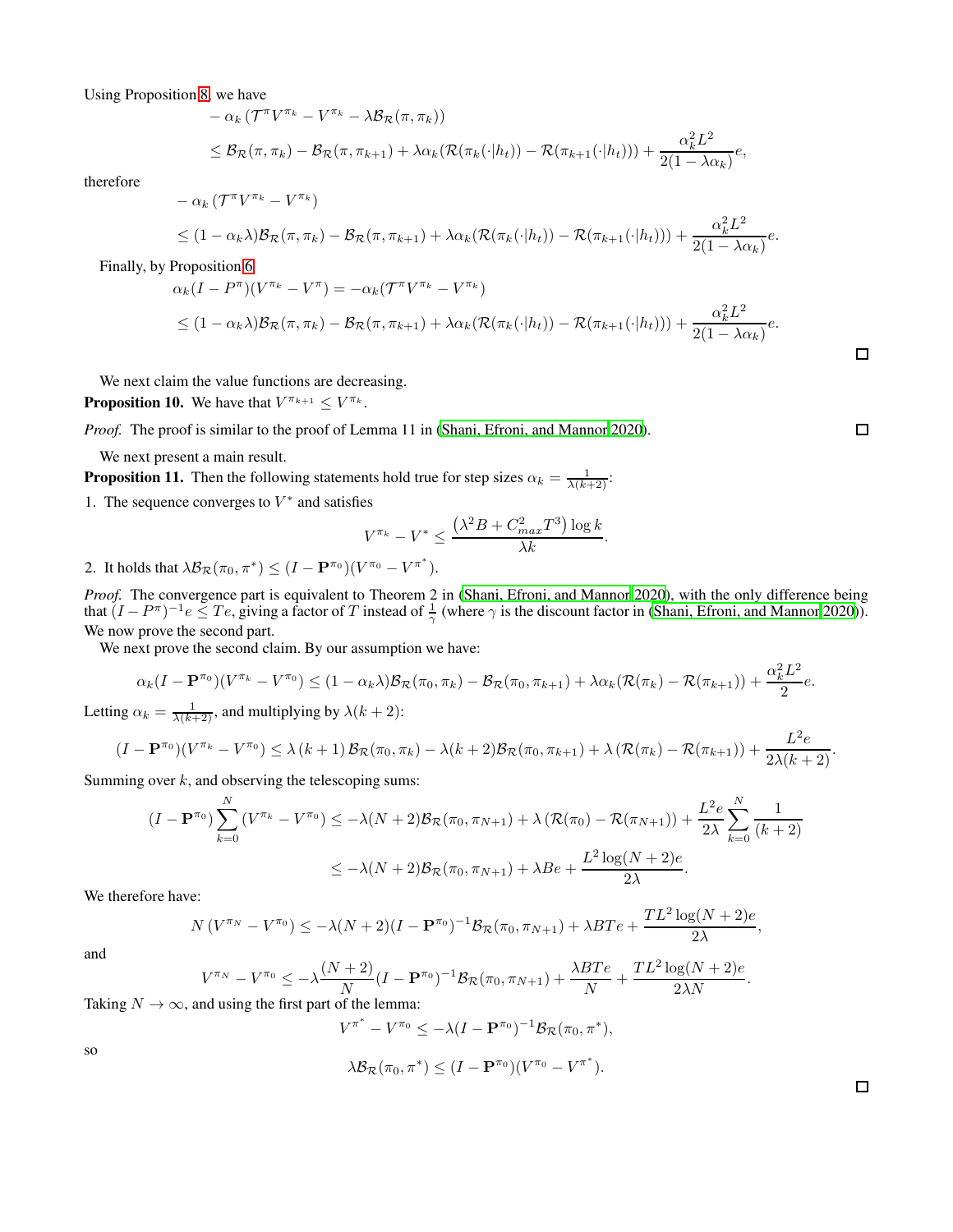Using Proposition [8,](#page-13-2) we have

$$
- \alpha_k (\mathcal{T}^{\pi} V^{\pi_k} - V^{\pi_k} - \lambda \mathcal{B}_{\mathcal{R}}(\pi, \pi_k))
$$
  
\$\leq \mathcal{B}\_{\mathcal{R}}(\pi, \pi\_k) - \mathcal{B}\_{\mathcal{R}}(\pi, \pi\_{k+1}) + \lambda \alpha\_k (\mathcal{R}(\pi\_k(\cdot | h\_t)) - \mathcal{R}(\pi\_{k+1}(\cdot | h\_t))) + \frac{\alpha\_k^2 L^2}{2(1 - \lambda \alpha\_k)} e\$,

therefore

$$
- \alpha_k (\mathcal{T}^{\pi} V^{\pi_k} - V^{\pi_k})
$$
  
 
$$
\leq (1 - \alpha_k \lambda) \mathcal{B}_{\mathcal{R}}(\pi, \pi_k) - \mathcal{B}_{\mathcal{R}}(\pi, \pi_{k+1}) + \lambda \alpha_k (\mathcal{R}(\pi_k(\cdot | h_t)) - \mathcal{R}(\pi_{k+1}(\cdot | h_t))) + \frac{\alpha_k^2 L^2}{2(1 - \lambda \alpha_k)} e.
$$

Finally, by Proposition [6](#page-12-1)

$$
\alpha_k (I - P^{\pi})(V^{\pi_k} - V^{\pi}) = -\alpha_k (\mathcal{T}^{\pi} V^{\pi_k} - V^{\pi_k})
$$
  
\n
$$
\leq (1 - \alpha_k \lambda) \mathcal{B}_{\mathcal{R}}(\pi, \pi_k) - \mathcal{B}_{\mathcal{R}}(\pi, \pi_{k+1}) + \lambda \alpha_k (\mathcal{R}(\pi_k(\cdot | h_t)) - \mathcal{R}(\pi_{k+1}(\cdot | h_t))) + \frac{\alpha_k^2 L^2}{2(1 - \lambda \alpha_k)} e.
$$

We next claim the value functions are decreasing.

**Proposition 10.** We have that  $V^{\pi_{k+1}} \leq V^{\pi_k}$ .

*Proof.* The proof is similar to the proof of Lemma 11 in [\(Shani, Efroni, and Mannor 2020\)](#page-7-8).

We next present a main result.

<span id="page-16-0"></span>**Proposition 11.** Then the following statements hold true for step sizes  $\alpha_k = \frac{1}{\lambda(k+2)}$ :

1. The sequence converges to  $V^*$  and satisfies

$$
V^{\pi_k} - V^* \le \frac{(\lambda^2 B + C_{max}^2 T^3) \log k}{\lambda k}.
$$

2. It holds that  $\lambda \mathcal{B}_{\mathcal{R}}(\pi_0, \pi^*) \leq (I - \mathbf{P}^{\pi_0})(V^{\pi_0} - V^{\pi^*}).$ 

*Proof.* The convergence part is equivalent to Theorem 2 in [\(Shani, Efroni, and Mannor 2020\)](#page-7-8), with the only difference being that  $(I - P^{\pi})^{-1}e \le Te$ , giving a factor of T instead of  $\frac{1}{\gamma}$  (where  $\gamma$  is the discount factor in [\(Shani, Efroni, and Mannor 2020\)](#page-7-8)). We now prove the second part.

We next prove the second claim. By our assumption we have:

$$
\alpha_k(I - \mathbf{P}^{\pi_0})(V^{\pi_k} - V^{\pi_0}) \le (1 - \alpha_k \lambda) \mathcal{B}_{\mathcal{R}}(\pi_0, \pi_k) - \mathcal{B}_{\mathcal{R}}(\pi_0, \pi_{k+1}) + \lambda \alpha_k (\mathcal{R}(\pi_k) - \mathcal{R}(\pi_{k+1})) + \frac{\alpha_k^2 L^2}{2} e.
$$
  
Letting  $\alpha_k = \frac{1}{\lambda(k+2)}$ , and multiplying by  $\lambda(k+2)$ :

$$
(I - \mathbf{P}^{\pi_0})(V^{\pi_k} - V^{\pi_0}) \leq \lambda (k+1) \mathcal{B}_{\mathcal{R}}(\pi_0, \pi_k) - \lambda(k+2) \mathcal{B}_{\mathcal{R}}(\pi_0, \pi_{k+1}) + \lambda (\mathcal{R}(\pi_k) - \mathcal{R}(\pi_{k+1})) + \frac{L^2 e}{2\lambda(k+2)}.
$$

Summing over  $k$ , and observing the telescoping sums:

$$
(I - \mathbf{P}^{\pi_0}) \sum_{k=0}^{N} (V^{\pi_k} - V^{\pi_0}) \le -\lambda (N+2) \mathcal{B}_{\mathcal{R}}(\pi_0, \pi_{N+1}) + \lambda (\mathcal{R}(\pi_0) - \mathcal{R}(\pi_{N+1})) + \frac{L^2 e}{2\lambda} \sum_{k=0}^{N} \frac{1}{(k+2)}
$$
  
 
$$
\le -\lambda (N+2) \mathcal{B}_{\mathcal{R}}(\pi_0, \pi_{N+1}) + \lambda B e + \frac{L^2 \log(N+2) e}{2\lambda}.
$$

We therefore have:

$$
N(V^{\pi_N} - V^{\pi_0}) \le -\lambda (N+2)(I - \mathbf{P}^{\pi_0})^{-1} \mathcal{B}_{\mathcal{R}}(\pi_0, \pi_{N+1}) + \lambda B T e + \frac{TL^2 \log(N+2) e}{2\lambda},
$$

and

$$
V^{\pi_N} - V^{\pi_0} \le -\lambda \frac{(N+2)}{N} (I - \mathbf{P}^{\pi_0})^{-1} \mathcal{B}_{\mathcal{R}}(\pi_0, \pi_{N+1}) + \frac{\lambda BT e}{N} + \frac{TL^2 \log(N+2) e}{2\lambda N}.
$$

Taking  $N \to \infty$ , and using the first part of the lemma:

$$
V^{\pi^*} - V^{\pi_0} \le -\lambda (I - \mathbf{P}^{\pi_0})^{-1} \mathcal{B}_{\mathcal{R}}(\pi_0, \pi^*),
$$
  

$$
\lambda \mathcal{B}_{\mathcal{R}}(\pi_0, \pi^*) \le (I - \mathbf{P}^{\pi_0})(V^{\pi_0} - V^{\pi^*}).
$$

so

 $\Box$ 

 $\Box$ 

 $\Box$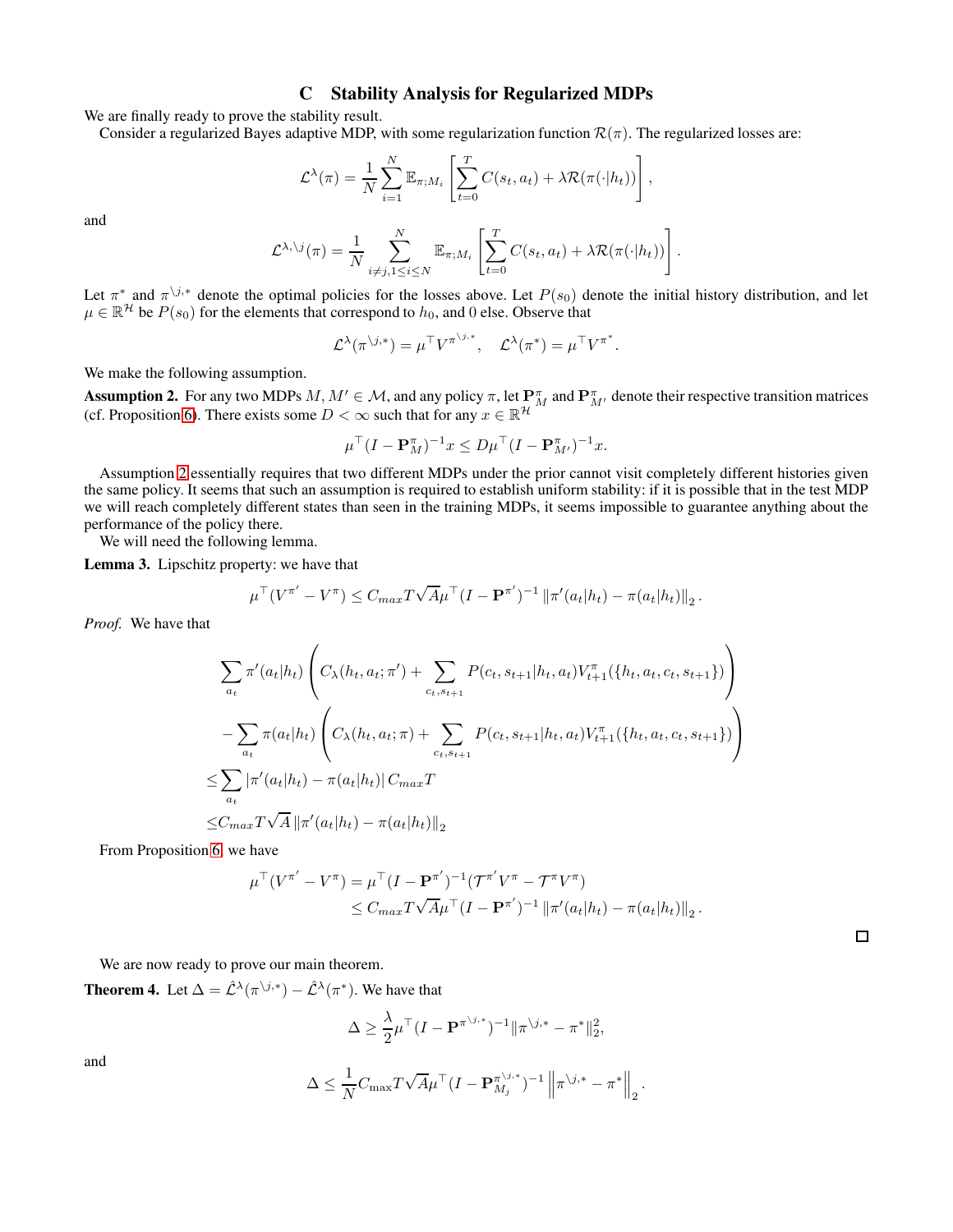### C Stability Analysis for Regularized MDPs

<span id="page-17-0"></span>We are finally ready to prove the stability result.

Consider a regularized Bayes adaptive MDP, with some regularization function  $\mathcal{R}(\pi)$ . The regularized losses are:

$$
\mathcal{L}^{\lambda}(\pi) = \frac{1}{N} \sum_{i=1}^{N} \mathbb{E}_{\pi;M_i} \left[ \sum_{t=0}^{T} C(s_t, a_t) + \lambda \mathcal{R}(\pi(\cdot | h_t)) \right],
$$

and

$$
\mathcal{L}^{\lambda,\setminus j}(\pi) = \frac{1}{N} \sum_{i \neq j, 1 \leq i \leq N}^N \mathbb{E}_{\pi;M_i} \left[ \sum_{t=0}^T C(s_t, a_t) + \lambda \mathcal{R}(\pi(\cdot | h_t)) \right].
$$

Let  $\pi^*$  and  $\pi^{\backslash j,*}$  denote the optimal policies for the losses above. Let  $P(s_0)$  denote the initial history distribution, and let  $\mu \in \mathbb{R}^{\mathcal{H}}$  be  $P(s_0)$  for the elements that correspond to  $h_0$ , and 0 else. Observe that

$$
\mathcal{L}^{\lambda}(\pi^{\backslash j,*}) = \mu^{\top} V^{\pi^{\backslash j,*}}, \quad \mathcal{L}^{\lambda}(\pi^*) = \mu^{\top} V^{\pi^*}.
$$

We make the following assumption.

<span id="page-17-1"></span>**Assumption 2.** For any two MDPs  $M, M' \in \mathcal{M}$ , and any policy  $\pi$ , let  $\mathbf{P}_{M}^{\pi}$  and  $\mathbf{P}_{M'}^{\pi}$  denote their respective transition matrices (cf. Proposition [6\)](#page-12-1). There exists some  $D < \infty$  such that for any  $x \in \mathbb{R}^{\mathcal{H}}$ 

$$
\mu^{\top} (I - \mathbf{P}_{M}^{\pi})^{-1} x \le D \mu^{\top} (I - \mathbf{P}_{M'}^{\pi})^{-1} x.
$$

Assumption [2](#page-17-1) essentially requires that two different MDPs under the prior cannot visit completely different histories given the same policy. It seems that such an assumption is required to establish uniform stability: if it is possible that in the test MDP we will reach completely different states than seen in the training MDPs, it seems impossible to guarantee anything about the performance of the policy there.

We will need the following lemma.

<span id="page-17-2"></span>Lemma 3. Lipschitz property: we have that

$$
\mu^{\top} (V^{\pi'} - V^{\pi}) \leq C_{max} T \sqrt{A} \mu^{\top} (I - \mathbf{P}^{\pi'})^{-1} \left\| \pi'(a_t|h_t) - \pi(a_t|h_t) \right\|_2.
$$

*Proof.* We have that

$$
\sum_{a_t} \pi'(a_t|h_t) \left( C_{\lambda}(h_t, a_t; \pi') + \sum_{c_t, s_{t+1}} P(c_t, s_{t+1}|h_t, a_t) V_{t+1}^{\pi}(\{h_t, a_t, c_t, s_{t+1}\}) \right)
$$
  

$$
- \sum_{a_t} \pi(a_t|h_t) \left( C_{\lambda}(h_t, a_t; \pi) + \sum_{c_t, s_{t+1}} P(c_t, s_{t+1}|h_t, a_t) V_{t+1}^{\pi}(\{h_t, a_t, c_t, s_{t+1}\}) \right)
$$
  

$$
\leq \sum_{a_t} |\pi'(a_t|h_t) - \pi(a_t|h_t)| C_{max} T
$$
  

$$
\leq C_{max} T \sqrt{A} ||\pi'(a_t|h_t) - \pi(a_t|h_t)||_2
$$

From Proposition [6,](#page-12-1) we have

$$
\mu^{\top} (V^{\pi'} - V^{\pi}) = \mu^{\top} (I - \mathbf{P}^{\pi'})^{-1} (\mathcal{T}^{\pi'} V^{\pi} - \mathcal{T}^{\pi} V^{\pi})
$$
  
 
$$
\leq C_{max} T \sqrt{A} \mu^{\top} (I - \mathbf{P}^{\pi'})^{-1} ||\pi'(a_t|h_t) - \pi(a_t|h_t)||_2.
$$

We are now ready to prove our main theorem.

**Theorem 4.** Let  $\Delta = \hat{\mathcal{L}}^{\lambda}(\pi^{\backslash j,*}) - \hat{\mathcal{L}}^{\lambda}(\pi^*)$ . We have that

$$
\Delta \geq \frac{\lambda}{2} \mu^{\top} (I - \mathbf{P}^{\pi^{\setminus j,*}})^{-1} ||\pi^{\setminus j,*} - \pi^*||_2^2,
$$

and

$$
\Delta \leq \frac{1}{N} C_{\max} T \sqrt{A} \mu^\top (I - \mathbf{P}_{M_j}^{\pi^{\backslash j,*}})^{-1} \left\| \pi^{\backslash j,*} - \pi^* \right\|_2.
$$

 $\Box$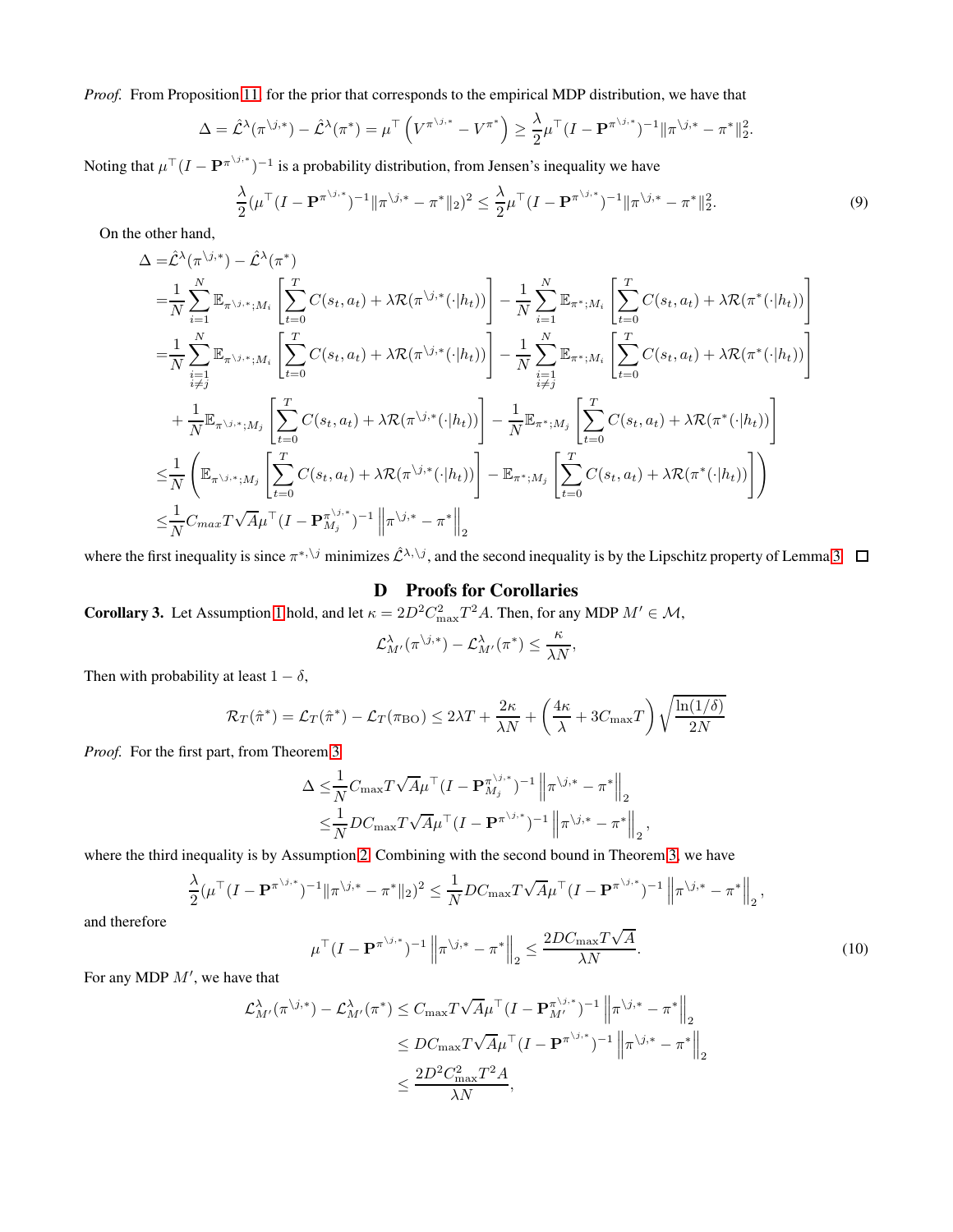*Proof.* From Proposition [11,](#page-16-0) for the prior that corresponds to the empirical MDP distribution, we have that

$$
\Delta = \hat{\mathcal{L}}^{\lambda}(\pi^{\backslash j,*}) - \hat{\mathcal{L}}^{\lambda}(\pi^*) = \mu^{\top} \left( V^{\pi^{\backslash j,*}} - V^{\pi^*} \right) \ge \frac{\lambda}{2} \mu^{\top} (I - \mathbf{P}^{\pi^{\backslash j,*}})^{-1} ||\pi^{\backslash j,*} - \pi^*||_2^2
$$

Noting that  $\mu^{\top} (I - \mathbf{P}^{\pi^{\setminus j,*}})^{-1}$  is a probability distribution, from Jensen's inequality we have

$$
\frac{\lambda}{2}(\mu^{\top}(I - \mathbf{P}^{\pi^{\backslash j,*}})^{-1} \|\pi^{\backslash j,*} - \pi^*\|_2)^2 \leq \frac{\lambda}{2} \mu^{\top} (I - \mathbf{P}^{\pi^{\backslash j,*}})^{-1} \|\pi^{\backslash j,*} - \pi^*\|_2^2.
$$
\n(9)

.

On the other hand,

$$
\Delta = \hat{\mathcal{L}}^{\lambda}(\pi^{\backslash j,*}) - \hat{\mathcal{L}}^{\lambda}(\pi^*)
$$
\n
$$
= \frac{1}{N} \sum_{i=1}^{N} \mathbb{E}_{\pi^{\backslash j,*},iM_i} \left[ \sum_{t=0}^{T} C(s_t, a_t) + \lambda \mathcal{R}(\pi^{\backslash j,*}(\cdot | h_t)) \right] - \frac{1}{N} \sum_{i=1}^{N} \mathbb{E}_{\pi^*,M_i} \left[ \sum_{t=0}^{T} C(s_t, a_t) + \lambda \mathcal{R}(\pi^{\backslash \{-|h_t\}}) \right]
$$
\n
$$
= \frac{1}{N} \sum_{\substack{i=1 \ i \neq j}}^{N} \mathbb{E}_{\pi^{\backslash j,*},iM_i} \left[ \sum_{t=0}^{T} C(s_t, a_t) + \lambda \mathcal{R}(\pi^{\backslash j,*}(\cdot | h_t)) \right] - \frac{1}{N} \sum_{\substack{i=1 \ i \neq j}}^{N} \mathbb{E}_{\pi^*,M_i} \left[ \sum_{t=0}^{T} C(s_t, a_t) + \lambda \mathcal{R}(\pi^{\backslash \{-|h_t\}}) \right]
$$
\n
$$
+ \frac{1}{N} \mathbb{E}_{\pi^{\backslash j,*},M_j} \left[ \sum_{t=0}^{T} C(s_t, a_t) + \lambda \mathcal{R}(\pi^{\backslash j,*}(\cdot | h_t)) \right] - \frac{1}{N} \mathbb{E}_{\pi^*,M_j} \left[ \sum_{t=0}^{T} C(s_t, a_t) + \lambda \mathcal{R}(\pi^{\backslash \{-|h_t\}}) \right]
$$
\n
$$
\leq \frac{1}{N} \left( \mathbb{E}_{\pi^{\backslash j,*},iM_j} \left[ \sum_{t=0}^{T} C(s_t, a_t) + \lambda \mathcal{R}(\pi^{\backslash j,*}(\cdot | h_t)) \right] - \mathbb{E}_{\pi^*,M_j} \left[ \sum_{t=0}^{T} C(s_t, a_t) + \lambda \mathcal{R}(\pi^{\backslash \{-|h_t\}}) \right] \right)
$$
\n
$$
\leq \frac{1}{N} C_{max} T \sqrt{A} \mu^{\top} (I - \mathbf{P}_{M_j}^{\pi^{\backslash j,*}})^{-1} \
$$

where the first inequality is since  $\pi^{*,\setminus j}$  minimizes  $\hat{\mathcal{L}}^{\lambda,\setminus j}$ , and the second inequality is by the Lipschitz property of Lemma [3](#page-17-2)

# D Proofs for Corollaries

**Corollary 3.** Let Assumption [1](#page-5-2) hold, and let  $\kappa = 2D^2 C_{\text{max}}^2 T^2 A$ . Then, for any MDP  $M' \in \mathcal{M}$ ,

$$
\mathcal{L}^{\lambda}_{M'}(\pi^{\setminus j,*})-\mathcal{L}^{\lambda}_{M'}(\pi^*)\leq \frac{\kappa}{\lambda N},
$$

Then with probability at least  $1 - \delta$ ,

$$
\mathcal{R}_T(\hat{\pi}^*) = \mathcal{L}_T(\hat{\pi}^*) - \mathcal{L}_T(\pi_{BO}) \le 2\lambda T + \frac{2\kappa}{\lambda N} + \left(\frac{4\kappa}{\lambda} + 3C_{\text{max}}T\right)\sqrt{\frac{\ln(1/\delta)}{2N}}
$$

*Proof.* For the first part, from Theorem [3](#page-5-1)

$$
\Delta \leq \frac{1}{N} C_{\max} T \sqrt{A} \mu^{\top} (I - \mathbf{P}_{M_j}^{\pi^{(j, *)}})^{-1} \| \pi^{(j, *} - \pi^* \|_2)
$$
  

$$
\leq \frac{1}{N} DC_{\max} T \sqrt{A} \mu^{\top} (I - \mathbf{P}^{\pi^{(j, *)}})^{-1} \| \pi^{(j, *} - \pi^* \|_2)
$$

where the third inequality is by Assumption [2.](#page-17-1) Combining with the second bound in Theorem [3,](#page-5-1) we have

<span id="page-18-0"></span>
$$
\frac{\lambda}{2}(\mu^{\top}(I - \mathbf{P}^{\pi^{\setminus j,*}})^{-1} \|\pi^{\setminus j,*} - \pi^*\|_2)^2 \leq \frac{1}{N} DC_{\max} T\sqrt{A} \mu^{\top} (I - \mathbf{P}^{\pi^{\setminus j,*}})^{-1} \left\|\pi^{\setminus j,*} - \pi^*\right\|_2,
$$

and therefore

$$
\mu^{\top} (I - \mathbf{P}^{\pi^{\backslash j,*}})^{-1} \left\| \pi^{\backslash j,*} - \pi^* \right\|_2 \le \frac{2DC_{\max} T \sqrt{A}}{\lambda N}.
$$
\n(10)

,

For any MDP  $M'$ , we have that

$$
\mathcal{L}_{M'}^{\lambda}(\pi^{\backslash j,*}) - \mathcal{L}_{M'}^{\lambda}(\pi^*) \leq C_{\max} T \sqrt{A} \mu^{\top} (I - \mathbf{P}_{M'}^{\pi^{\backslash j,*}})^{-1} \left\| \pi^{\backslash j,*} - \pi^* \right\|_2
$$
  

$$
\leq DC_{\max} T \sqrt{A} \mu^{\top} (I - \mathbf{P}^{\pi^{\backslash j,*}})^{-1} \left\| \pi^{\backslash j,*} - \pi^* \right\|_2
$$
  

$$
\leq \frac{2D^2 C_{\max}^2 T^2 A}{\lambda N},
$$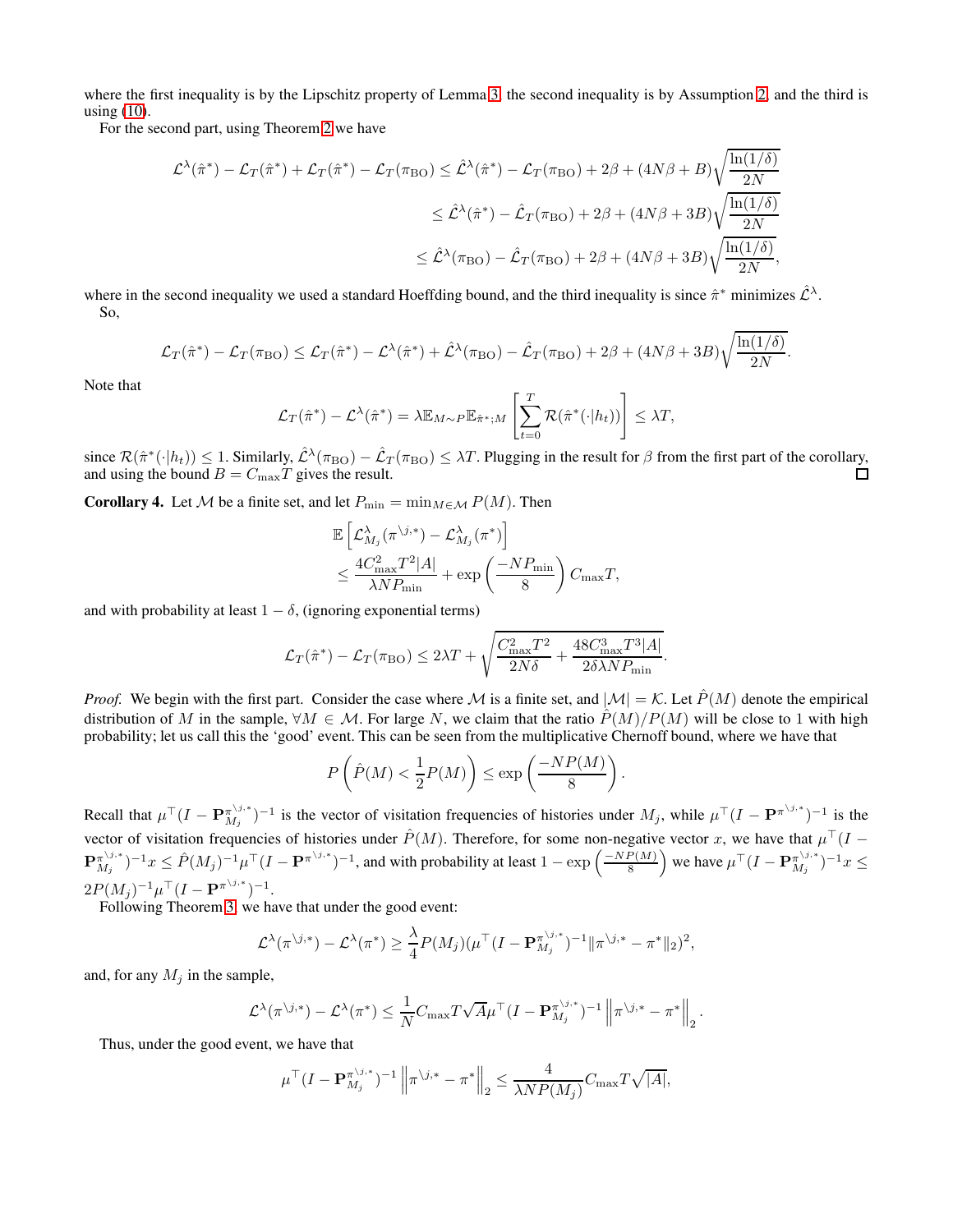where the first inequality is by the Lipschitz property of Lemma [3,](#page-17-2) the second inequality is by Assumption [2,](#page-17-1) and the third is using [\(10\)](#page-18-0).

For the second part, using Theorem [2](#page-2-3) we have

$$
\mathcal{L}^{\lambda}(\hat{\pi}^{*}) - \mathcal{L}_{T}(\hat{\pi}^{*}) + \mathcal{L}_{T}(\hat{\pi}^{*}) - \mathcal{L}_{T}(\pi_{BO}) \leq \hat{\mathcal{L}}^{\lambda}(\hat{\pi}^{*}) - \mathcal{L}_{T}(\pi_{BO}) + 2\beta + (4N\beta + B)\sqrt{\frac{\ln(1/\delta)}{2N}}
$$
  

$$
\leq \hat{\mathcal{L}}^{\lambda}(\hat{\pi}^{*}) - \hat{\mathcal{L}}_{T}(\pi_{BO}) + 2\beta + (4N\beta + 3B)\sqrt{\frac{\ln(1/\delta)}{2N}}
$$
  

$$
\leq \hat{\mathcal{L}}^{\lambda}(\pi_{BO}) - \hat{\mathcal{L}}_{T}(\pi_{BO}) + 2\beta + (4N\beta + 3B)\sqrt{\frac{\ln(1/\delta)}{2N}},
$$

where in the second inequality we used a standard Hoeffding bound, and the third inequality is since  $\hat{\pi}^*$  minimizes  $\hat{\mathcal{L}}^{\lambda}$ . So,

$$
\mathcal{L}_T(\hat{\pi}^*) - \mathcal{L}_T(\pi_{BO}) \leq \mathcal{L}_T(\hat{\pi}^*) - \mathcal{L}^{\lambda}(\hat{\pi}^*) + \hat{\mathcal{L}}^{\lambda}(\pi_{BO}) - \hat{\mathcal{L}}_T(\pi_{BO}) + 2\beta + (4N\beta + 3B)\sqrt{\frac{\ln(1/\delta)}{2N}}.
$$

Note that

$$
\mathcal{L}_T(\hat{\pi}^*) - \mathcal{L}^{\lambda}(\hat{\pi}^*) = \lambda \mathbb{E}_{M \sim P} \mathbb{E}_{\hat{\pi}^*,M} \left[ \sum_{t=0}^T \mathcal{R}(\hat{\pi}^*(\cdot | h_t)) \right] \leq \lambda T,
$$

since  $\mathcal{R}(\hat{\pi}^*(\cdot|h_t)) \leq 1$ . Similarly,  $\hat{\mathcal{L}}^{\lambda}(\pi_{\text{BO}}) - \hat{\mathcal{L}}_T(\pi_{\text{BO}}) \leq \lambda T$ . Plugging in the result for  $\beta$  from the first part of the corollary, and using the bound  $B = C_{\text{max}}T$  gives the result.

**Corollary 4.** Let M be a finite set, and let  $P_{\min} = \min_{M \in \mathcal{M}} P(M)$ . Then

$$
\mathbb{E}\left[\mathcal{L}_{M_j}^{\lambda}(\pi^{\backslash j,*})-\mathcal{L}_{M_j}^{\lambda}(\pi^*)\right] \n\leq \frac{4C_{\text{max}}^2T^2|A|}{\lambda N P_{\text{min}}}+\exp\left(\frac{-N P_{\text{min}}}{8}\right)C_{\text{max}}T,
$$

and with probability at least  $1 - \delta$ , (ignoring exponential terms)

$$
\mathcal{L}_T(\hat{\pi}^*) - \mathcal{L}_T(\pi_{\text{BO}}) \le 2\lambda T + \sqrt{\frac{C_{\text{max}}^2 T^2}{2N\delta} + \frac{48C_{\text{max}}^3 T^3 |A|}{2\delta \lambda N P_{\text{min}}}}.
$$

*Proof.* We begin with the first part. Consider the case where M is a finite set, and  $|M| = K$ . Let  $\hat{P}(M)$  denote the empirical distribution of M in the sample,  $\forall M \in \mathcal{M}$ . For large N, we claim that the ratio  $\hat{P}(M)/P(M)$  will be close to 1 with high probability; let us call this the 'good' event. This can be seen from the multiplicative Chernoff bound, where we have that

$$
P\left(\hat{P}(M) < \frac{1}{2}P(M)\right) \le \exp\left(\frac{-NP(M)}{8}\right).
$$

Recall that  $\mu^{\top} (I - \mathbf{P}_{M_j}^{\pi^{\setminus j,*}})$  $\pi_{M_j}^{(j,*,*)-1}$  is the vector of visitation frequencies of histories under  $M_j$ , while  $\mu^{\top} (I - \mathbf{P}^{\pi^{(j,*)-1}})^{-1}$  is the vector of visitation frequencies of histories under  $\hat{P}(M)$ . Therefore, for some non-negative vector x, we have that  $\mu^{\top}(I \mathbf{P}^{\pi^{\backslash j,*}}_{\mathcal{M}}$  $(\pi^{\backslash j,*}_{M_j})^{-1}x\leq \hat{P}(M_j)^{-1}\mu^\top (I-\mathbf{P}^{\pi^{\backslash j,*}})^{-1},$  and with probability at least  $1-\exp\left(\frac{-NP(M)}{8}\right)$  $\frac{P(M)}{8}$  we have  $\mu^{\top} (I - \mathbf{P}_{M_j}^{\pi^{\backslash j,*}})$  $\binom{\pi^{\setminus j,*}}{M_j}$ <sup>-1</sup> $x \le$  $2P(M_j)^{-1}\mu^\top(I - \mathbf{P}^{\pi^{\setminus j,*}})^{-1}.$ 

Following Theorem [3,](#page-5-1) we have that under the good event:

$$
\mathcal{L}^{\lambda}(\pi^{\backslash j,*}) - \mathcal{L}^{\lambda}(\pi^*) \geq \frac{\lambda}{4} P(M_j) (\mu^{\top} (I - \mathbf{P}_{M_j}^{\pi^{\backslash j,*}})^{-1} || \pi^{\backslash j,*} - \pi^* ||_2)^2,
$$

and, for any  $M_i$  in the sample,

$$
\mathcal{L}^{\lambda}(\pi^{\backslash j,*})-\mathcal{L}^{\lambda}(\pi^*) \leq \frac{1}{N}C_{\max}T\sqrt{A}\mu^{\top}(I-\mathbf{P}_{M_j}^{\pi^{\backslash j,*}})^{-1}\left\|\pi^{\backslash j,*}-\pi^*\right\|_2.
$$

Thus, under the good event, we have that

$$
\mu^{\top} (I - \mathbf{P}_{M_j}^{\pi^{\backslash j,*}})^{-1} \left\| \pi^{\backslash j,*} - \pi^* \right\|_2 \le \frac{4}{\lambda N P(M_j)} C_{\text{max}} T \sqrt{|A|},
$$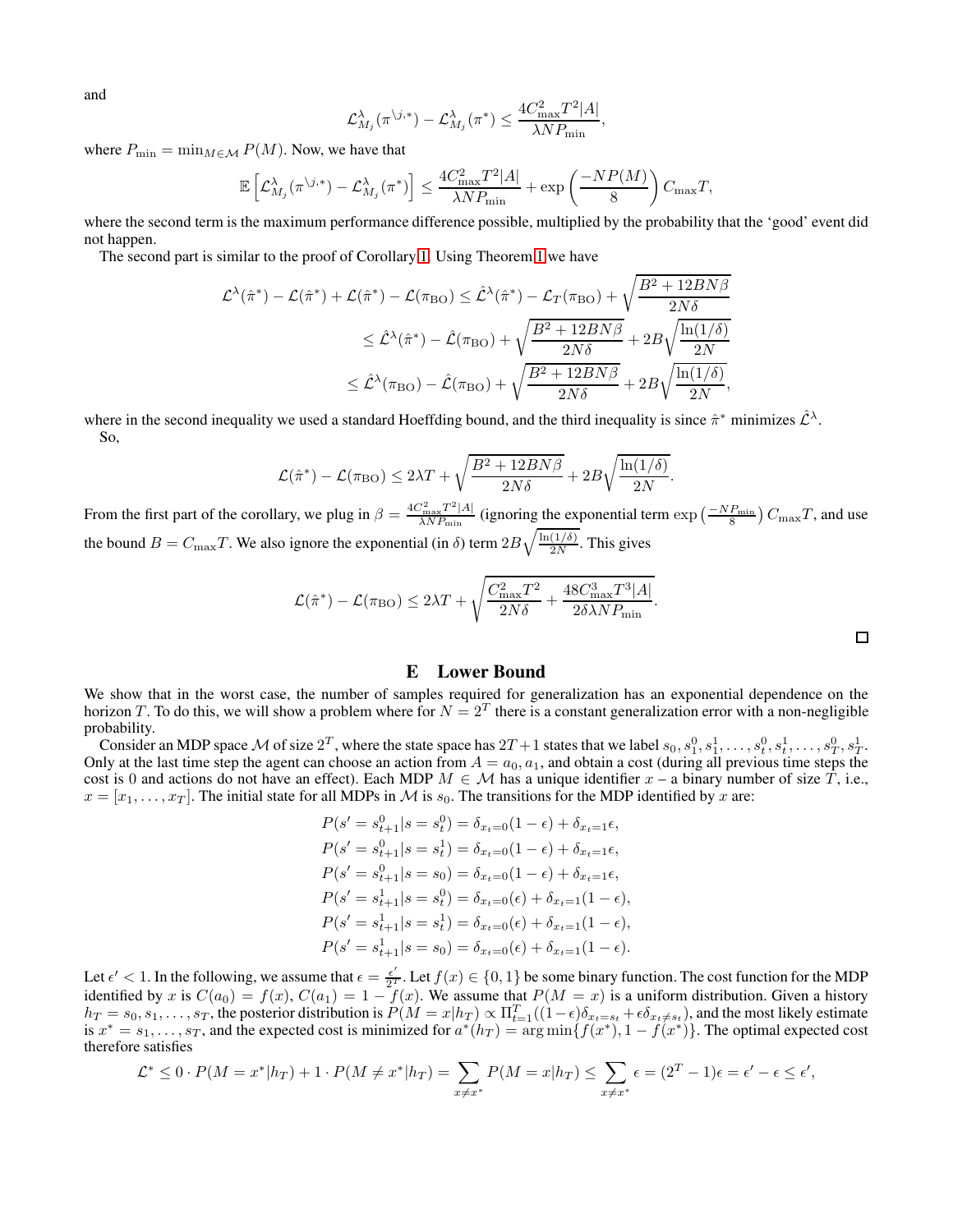and

$$
\mathcal{L}^{\lambda}_{M_j}(\pi^{\backslash j,*})-\mathcal{L}^{\lambda}_{M_j}(\pi^*)\leq \frac{4C_{\max}^2T^2|A|}{\lambda N P_{\min}},
$$

where  $P_{\min} = \min_{M \in \mathcal{M}} P(M)$ . Now, we have that

$$
\mathbb{E}\left[\mathcal{L}_{M_j}^{\lambda}(\pi^{\backslash j,*})-\mathcal{L}_{M_j}^{\lambda}(\pi^*)\right] \leq \frac{4C_{\max}^2 T^2|A|}{\lambda N P_{\min}}+\exp\left(\frac{-NP(M)}{8}\right)C_{\max}T,
$$

where the second term is the maximum performance difference possible, multiplied by the probability that the 'good' event did not happen.

The second part is similar to the proof of Corollary [1.](#page-5-3) Using Theorem [1](#page-2-2) we have

$$
\mathcal{L}^{\lambda}(\hat{\pi}^*) - \mathcal{L}(\hat{\pi}^*) + \mathcal{L}(\hat{\pi}^*) - \mathcal{L}(\pi_{BO}) \leq \hat{\mathcal{L}}^{\lambda}(\hat{\pi}^*) - \mathcal{L}_T(\pi_{BO}) + \sqrt{\frac{B^2 + 12BN\beta}{2N\delta}}
$$
  

$$
\leq \hat{\mathcal{L}}^{\lambda}(\hat{\pi}^*) - \hat{\mathcal{L}}(\pi_{BO}) + \sqrt{\frac{B^2 + 12BN\beta}{2N\delta}} + 2B\sqrt{\frac{\ln(1/\delta)}{2N}}
$$
  

$$
\leq \hat{\mathcal{L}}^{\lambda}(\pi_{BO}) - \hat{\mathcal{L}}(\pi_{BO}) + \sqrt{\frac{B^2 + 12BN\beta}{2N\delta}} + 2B\sqrt{\frac{\ln(1/\delta)}{2N}},
$$

where in the second inequality we used a standard Hoeffding bound, and the third inequality is since  $\hat{\pi}^*$  minimizes  $\hat{\mathcal{L}}^{\lambda}$ . So,

$$
\mathcal{L}(\hat{\pi}^*) - \mathcal{L}(\pi_{\text{BO}}) \le 2\lambda T + \sqrt{\frac{B^2 + 12B N \beta}{2N\delta}} + 2B\sqrt{\frac{\ln(1/\delta)}{2N}}
$$

.

From the first part of the corollary, we plug in  $\beta = \frac{4C_{\text{max}}^2 T^2 |A|}{\lambda N P_{\text{max}}}$  $\frac{\sum_{\text{max}}^2 T^2 |A|}{\lambda N P_{\text{min}}}$  (ignoring the exponential term  $\exp\left(\frac{-N P_{\text{min}}}{8}\right) C_{\text{max}} T$ , and use the bound  $B = C_{\text{max}}T$ . We also ignore the exponential (in  $\delta$ ) term  $2B\sqrt{\frac{\ln(1/\delta)}{2N}}$  $\frac{(1/\theta)}{2N}$ . This gives

$$
\mathcal{L}(\hat{\pi}^*) - \mathcal{L}(\pi_{\text{BO}}) \le 2\lambda T + \sqrt{\frac{C_{\text{max}}^2 T^2}{2N\delta} + \frac{48C_{\text{max}}^3 T^3 |A|}{2\delta\lambda N P_{\text{min}}}}.
$$

 $\Box$ 

### E Lower Bound

<span id="page-20-0"></span>We show that in the worst case, the number of samples required for generalization has an exponential dependence on the horizon T. To do this, we will show a problem where for  $N=2^T$  there is a constant generalization error with a non-negligible probability.

Consider an MDP space M of size  $2^T$ , where the state space has  $2T+1$  states that we label  $s_0, s_1^0, s_1^1, \ldots, s_t^0, s_t^1, \ldots, s_T^0, s_T^1$ . Only at the last time step the agent can choose an action from  $A = a_0, a_1$ , and obtain a cost (during all previous time steps the cost is 0 and actions do not have an effect). Each MDP  $M \in \mathcal{M}$  has a unique identifier  $x - a$  binary number of size  $\overline{T}$ , i.e.,  $x = [x_1, \ldots, x_T]$ . The initial state for all MDPs in M is  $s_0$ . The transitions for the MDP identified by x are:

$$
P(s' = s_{t+1}^0 | s = s_t^0) = \delta_{x_t=0} (1 - \epsilon) + \delta_{x_t=1} \epsilon,
$$
  
\n
$$
P(s' = s_{t+1}^0 | s = s_t^1) = \delta_{x_t=0} (1 - \epsilon) + \delta_{x_t=1} \epsilon,
$$
  
\n
$$
P(s' = s_{t+1}^0 | s = s_0) = \delta_{x_t=0} (1 - \epsilon) + \delta_{x_t=1} \epsilon,
$$
  
\n
$$
P(s' = s_{t+1}^1 | s = s_t^0) = \delta_{x_t=0} (\epsilon) + \delta_{x_t=1} (1 - \epsilon),
$$
  
\n
$$
P(s' = s_{t+1}^1 | s = s_t^1) = \delta_{x_t=0} (\epsilon) + \delta_{x_t=1} (1 - \epsilon).
$$

Let  $\epsilon' < 1$ . In the following, we assume that  $\epsilon = \frac{\epsilon'}{2^T}$ . Let  $f(x) \in \{0, 1\}$  be some binary function. The cost function for the MDP identified by x is  $C(a_0) = f(x)$ ,  $C(a_1) = 1 - f(x)$ . We assume that  $P(M = x)$  is a uniform distribution. Given a history  $h_T = s_0, s_1, \ldots, s_T$ , the posterior distribution is  $P(M = x | h_T) \propto \Pi_{t=1}^T ((1 - \epsilon) \delta_{x_t = s_t} + \epsilon \delta_{x_t \neq s_t})$ , and the most likely estimate is  $x^* = s_1, \ldots, s_T$ , and the expected cost is minimized for  $a^*(h_T) = \arg \min \{f(x^*), 1 - \hat{f}(x^*)\}$ . The optimal expected cost therefore satisfies

$$
\mathcal{L}^* \leq 0 \cdot P(M = x^* | h_T) + 1 \cdot P(M \neq x^* | h_T) = \sum_{x \neq x^*} P(M = x | h_T) \leq \sum_{x \neq x^*} \epsilon = (2^T - 1)\epsilon = \epsilon' - \epsilon \leq \epsilon',
$$